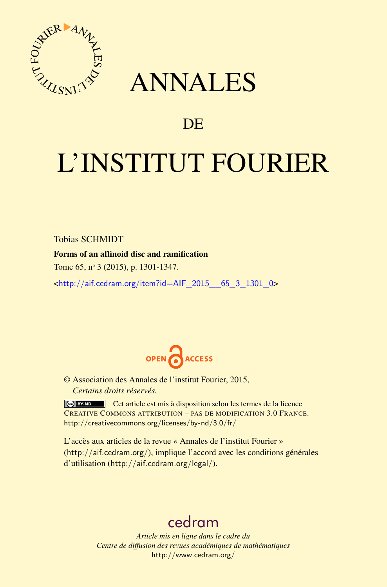

## ANNALES

### **DE**

# L'INSTITUT FOURIER

Tobias SCHMIDT

#### Forms of an affinoid disc and ramification

Tome 65, nº 3 (2015), p. 1301-1347.

 $\kappa$ http://aif.cedram.org/item?id=AIF 2015 65\_3\_1301\_0>



© Association des Annales de l'institut Fourier, 2015, *Certains droits réservés.*

Cet article est mis à disposition selon les termes de la licence CREATIVE COMMONS ATTRIBUTION – PAS DE MODIFICATION 3.0 FRANCE. <http://creativecommons.org/licenses/by-nd/3.0/fr/>

L'accès aux articles de la revue « Annales de l'institut Fourier » (<http://aif.cedram.org/>), implique l'accord avec les conditions générales d'utilisation (<http://aif.cedram.org/legal/>).

## [cedram](http://www.cedram.org/)

*Article mis en ligne dans le cadre du Centre de diffusion des revues académiques de mathématiques* <http://www.cedram.org/>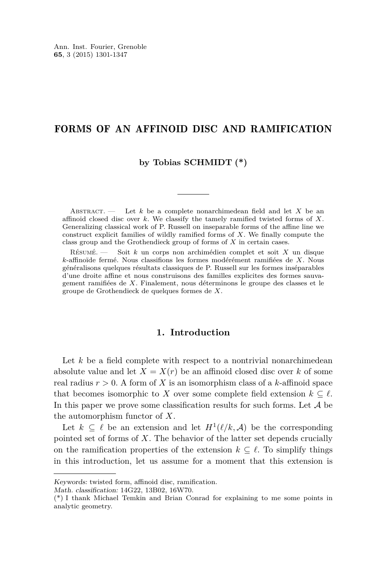#### FORMS OF AN AFFINOID DISC AND RAMIFICATION

#### **by Tobias SCHMIDT (\*)**

Abstract. — Let *k* be a complete nonarchimedean field and let *X* be an affinoid closed disc over *k*. We classify the tamely ramified twisted forms of *X*. Generalizing classical work of P. Russell on inseparable forms of the affine line we construct explicit families of wildly ramified forms of *X*. We finally compute the class group and the Grothendieck group of forms of *X* in certain cases.

Résumé. — Soit *k* un corps non archimédien complet et soit *X* un disque *k*-affinoïde fermé. Nous classifions les formes modérément ramifiées de *X*. Nous généralisons quelques résultats classiques de P. Russell sur les formes inséparables d'une droite affine et nous construisons des familles explicites des formes sauvagement ramifiées de *X*. Finalement, nous déterminons le groupe des classes et le groupe de Grothendieck de quelques formes de *X*.

#### **1. Introduction**

Let *k* be a field complete with respect to a nontrivial nonarchimedean absolute value and let  $X = X(r)$  be an affinoid closed disc over k of some real radius  $r > 0$ . A form of X is an isomorphism class of a  $k$ -affinoid space that becomes isomorphic to *X* over some complete field extension  $k \subset \ell$ . In this paper we prove some classification results for such forms. Let  $A$  be the automorphism functor of *X*.

Let  $k \subseteq \ell$  be an extension and let  $H^1(\ell/k, \mathcal{A})$  be the corresponding pointed set of forms of *X*. The behavior of the latter set depends crucially on the ramification properties of the extension  $k \subseteq \ell$ . To simplify things in this introduction, let us assume for a moment that this extension is

Math. classification: 14G22, 13B02, 16W70.

Keywords: twisted form, affinoid disc, ramification.

<sup>(\*)</sup> I thank Michael Temkin and Brian Conrad for explaining to me some points in analytic geometry.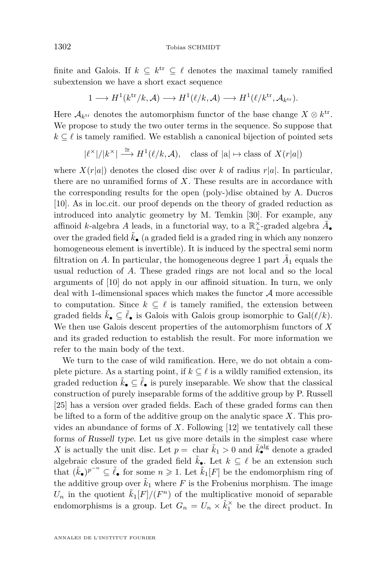finite and Galois. If  $k \subseteq k^{\text{tr}} \subseteq \ell$  denotes the maximal tamely ramified subextension we have a short exact sequence

$$
1 \longrightarrow H^{1}(k^{\text{tr}}/k, \mathcal{A}) \longrightarrow H^{1}(\ell/k, \mathcal{A}) \longrightarrow H^{1}(\ell/k^{\text{tr}}, \mathcal{A}_{k^{\text{tr}}}).
$$

Here  $A_{k^{tr}}$  denotes the automorphism functor of the base change  $X \otimes k^{tr}$ . We propose to study the two outer terms in the sequence. So suppose that  $k \subset \ell$  is tamely ramified. We establish a canonical bijection of pointed sets

 $|\ell^{\times}|/|k^{\times}| \stackrel{\cong}{\longrightarrow} H^1(\ell/k, \mathcal{A}),$  class of  $|\mathbf{a}| \mapsto \text{class of } X(r|\mathbf{a}|)$ 

where  $X(r|a|)$  denotes the closed disc over *k* of radius  $r|a|$ . In particular, there are no unramified forms of *X*. These results are in accordance with the corresponding results for the open (poly-)disc obtained by A. Ducros [\[10\]](#page-46-0). As in loc.cit. our proof depends on the theory of graded reduction as introduced into analytic geometry by M. Temkin [\[30\]](#page-47-0). For example, any affinoid *k*-algebra *A* leads, in a functorial way, to a  $\mathbb{R}^\times_+$ -graded algebra  $\tilde{A}_\bullet$ over the graded field  $\tilde{k}_{\bullet}$  (a graded field is a graded ring in which any nonzero homogeneous element is invertible). It is induced by the spectral semi norm filtration on  $A$ . In particular, the homogeneous degree 1 part  $\tilde{A}_1$  equals the usual reduction of *A*. These graded rings are not local and so the local arguments of [\[10\]](#page-46-0) do not apply in our affinoid situation. In turn, we only deal with 1-dimensional spaces which makes the functor  $A$  more accessible to computation. Since  $k \subseteq \ell$  is tamely ramified, the extension between graded fields  $\tilde{k}_\bullet \subseteq \tilde{\ell}_\bullet$  is Galois with Galois group isomorphic to  $Gal(\ell/k)$ . We then use Galois descent properties of the automorphism functors of *X* and its graded reduction to establish the result. For more information we refer to the main body of the text.

We turn to the case of wild ramification. Here, we do not obtain a complete picture. As a starting point, if  $k \subseteq \ell$  is a wildly ramified extension, its graded reduction  $\tilde{k}_\bullet \subseteq \tilde{\ell}_\bullet$  is purely inseparable. We show that the classical construction of purely inseparable forms of the additive group by P. Russell [\[25\]](#page-46-0) has a version over graded fields. Each of these graded forms can then be lifted to a form of the additive group on the analytic space *X*. This provides an abundance of forms of *X*. Following [\[12\]](#page-46-0) we tentatively call these forms of Russell type. Let us give more details in the simplest case where *X* is actually the unit disc. Let  $p = \text{char } \tilde{k}_1 > 0$  and  $\tilde{k}_\bullet^{\text{alg}}$  denote a graded algebraic closure of the graded field  $\tilde{k}_\bullet$ . Let  $k \subseteq \ell$  be an extension such that  $(\tilde{k}_\bullet)^{p^{-n}} \subseteq \tilde{\ell}_\bullet$  for some  $n \geq 1$ . Let  $\tilde{k}_1[F]$  be the endomorphism ring of the additive group over  $\tilde{k}_1$  where F is the Frobenius morphism. The image  $U_n$  in the quotient  $\tilde{k}_1[F]/(F^n)$  of the multiplicative monoid of separable endomorphisms is a group. Let  $G_n = U_n \times \tilde{k}_1^{\times}$  be the direct product. In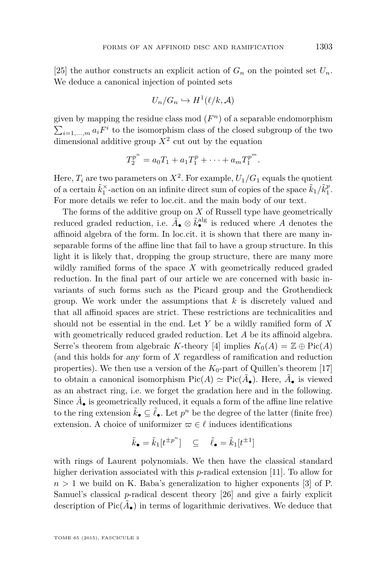[\[25\]](#page-46-0) the author constructs an explicit action of  $G_n$  on the pointed set  $U_n$ . We deduce a canonical injection of pointed sets

$$
U_n/G_n \hookrightarrow H^1(\ell/k, \mathcal{A})
$$

given by mapping the residue class mod  $(F<sup>n</sup>)$  of a separable endomorphism  $\sum_{i=1,\dots,m} a_i F^i$  to the isomorphism class of the closed subgroup of the two dimensional additive group *X*<sup>2</sup> cut out by the equation

$$
T_2^{p^n} = a_0 T_1 + a_1 T_1^p + \cdots + a_m T_1^{p^m}.
$$

Here,  $T_i$  are two parameters on  $X^2$ . For example,  $U_1/G_1$  equals the quotient of a certain  $\tilde{k}_1^{\times}$ -action on an infinite direct sum of copies of the space  $\tilde{k}_1/\tilde{k}_1^p$ . For more details we refer to loc.cit. and the main body of our text.

The forms of the additive group on *X* of Russell type have geometrically reduced graded reduction, i.e.  $\tilde{A}_{\bullet} \otimes \tilde{k}_{\bullet}^{\text{alg}}$  is reduced where *A* denotes the affinoid algebra of the form. In loc.cit. it is shown that there are many inseparable forms of the affine line that fail to have a group structure. In this light it is likely that, dropping the group structure, there are many more wildly ramified forms of the space *X* with geometrically reduced graded reduction. In the final part of our article we are concerned with basic invariants of such forms such as the Picard group and the Grothendieck group. We work under the assumptions that *k* is discretely valued and that all affinoid spaces are strict. These restrictions are technicalities and should not be essential in the end. Let *Y* be a wildly ramified form of *X* with geometrically reduced graded reduction. Let *A* be its affinoid algebra. Serre's theorem from algebraic *K*-theory [\[4\]](#page-46-0) implies  $K_0(A) = \mathbb{Z} \oplus Pic(A)$ (and this holds for any form of *X* regardless of ramification and reduction properties). We then use a version of the  $K_0$ -part of Quillen's theorem [\[17\]](#page-46-0) to obtain a canonical isomorphism  $Pic(A) \simeq Pic(\tilde{A}_{\bullet})$ . Here,  $\tilde{A}_{\bullet}$  is viewed as an abstract ring, i.e. we forget the gradation here and in the following. Since  $\tilde{A}_\bullet$  is geometrically reduced, it equals a form of the affine line relative to the ring extension  $\tilde{k}_{\bullet} \subseteq \tilde{\ell}_{\bullet}$ . Let  $p^n$  be the degree of the latter (finite free) extension. A choice of uniformizer  $\varpi \in \ell$  induces identifications

$$
\tilde{k}_{\bullet} = \tilde{k}_{1}[t^{\pm p^{n}}] \quad \subseteq \quad \tilde{\ell}_{\bullet} = \tilde{k}_{1}[t^{\pm 1}]
$$

with rings of Laurent polynomials. We then have the classical standard higher derivation associated with this *p*-radical extension [\[11\]](#page-46-0). To allow for  $n > 1$  we build on K. Baba's generalization to higher exponents [\[3\]](#page-46-0) of P. Samuel's classical *p*-radical descent theory [\[26\]](#page-47-0) and give a fairly explicit description of  $Pic(\tilde{A}_{\bullet})$  in terms of logarithmic derivatives. We deduce that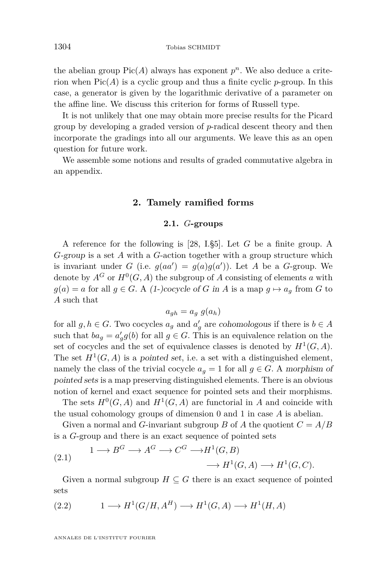the abelian group  $Pic(A)$  always has exponent  $p<sup>n</sup>$ . We also deduce a criterion when  $Pic(A)$  is a cyclic group and thus a finite cyclic *p*-group. In this case, a generator is given by the logarithmic derivative of a parameter on the affine line. We discuss this criterion for forms of Russell type.

It is not unlikely that one may obtain more precise results for the Picard group by developing a graded version of *p*-radical descent theory and then incorporate the gradings into all our arguments. We leave this as an open question for future work.

We assemble some notions and results of graded commutative algebra in an appendix.

#### **2. Tamely ramified forms**

#### **2.1.** *G***-groups**

A reference for the following is [\[28,](#page-47-0) I.§5]. Let *G* be a finite group. A *G*-group is a set *A* with a *G*-action together with a group structure which is invariant under *G* (i.e.  $g(aa') = g(a)g(a')$ ). Let *A* be a *G*-group. We denote by  $A^G$  or  $H^0(G, A)$  the subgroup of A consisting of elements a with  $g(a) = a$  for all  $g \in G$ . A (1-)cocycle of *G* in *A* is a map  $g \mapsto a_g$  from *G* to *A* such that

$$
a_{gh} = a_g \ g(a_h)
$$

for all  $g, h \in G$ . Two cocycles  $a_g$  and  $a'_g$  are cohomologous if there is  $b \in A$ such that  $ba_g = a'_g g(b)$  for all  $g \in G$ . This is an equivalence relation on the set of cocycles and the set of equivalence classes is denoted by  $H^1(G, A)$ . The set  $H^1(G, A)$  is a pointed set, i.e. a set with a distinguished element, namely the class of the trivial cocycle  $a<sub>g</sub> = 1$  for all  $g \in G$ . A morphism of pointed sets is a map preserving distinguished elements. There is an obvious notion of kernel and exact sequence for pointed sets and their morphisms.

The sets  $H^0(G, A)$  and  $H^1(G, A)$  are functorial in *A* and coincide with the usual cohomology groups of dimension 0 and 1 in case *A* is abelian.

Given a normal and *G*-invariant subgroup *B* of *A* the quotient  $C = A/B$ is a *G*-group and there is an exact sequence of pointed sets

(2.1) 
$$
1 \longrightarrow B^G \longrightarrow A^G \longrightarrow C^G \longrightarrow H^1(G, B) \longrightarrow H^1(G, A) \longrightarrow H^1(G, C).
$$

Given a normal subgroup  $H \subseteq G$  there is an exact sequence of pointed sets

(2.2) 
$$
1 \longrightarrow H^1(G/H, A^H) \longrightarrow H^1(G, A) \longrightarrow H^1(H, A)
$$

<span id="page-4-0"></span>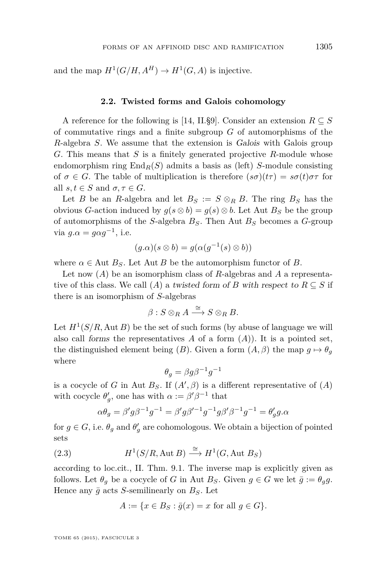<span id="page-5-0"></span>and the map  $H^1(G/H, A^H) \to H^1(G, A)$  is injective.

#### **2.2. Twisted forms and Galois cohomology**

A reference for the following is [\[14,](#page-46-0) II.§9]. Consider an extension  $R \subseteq S$ of commutative rings and a finite subgroup *G* of automorphisms of the *R*-algebra *S*. We assume that the extension is Galois with Galois group *G*. This means that *S* is a finitely generated projective *R*-module whose endomorphism ring  $\text{End}_R(S)$  admits a basis as (left) *S*-module consisting of  $\sigma \in G$ . The table of multiplication is therefore  $(s\sigma)(t\tau) = s\sigma(t)\sigma\tau$  for all  $s, t \in S$  and  $\sigma, \tau \in G$ .

Let *B* be an *R*-algebra and let  $B_S := S \otimes_R B$ . The ring  $B_S$  has the obvious *G*-action induced by  $g(s \otimes b) = g(s) \otimes b$ . Let Aut  $B<sub>S</sub>$  be the group of automorphisms of the *S*-algebra *BS*. Then Aut *B<sup>S</sup>* becomes a *G*-group via  $g.\alpha = g\alpha g^{-1}$ , i.e.

$$
(g.\alpha)(s \otimes b) = g(\alpha(g^{-1}(s) \otimes b))
$$

where  $\alpha \in$  Aut  $B_S$ . Let Aut *B* be the automorphism functor of *B*.

Let now (*A*) be an isomorphism class of *R*-algebras and *A* a representative of this class. We call (*A*) a twisted form of *B* with respect to  $R \subseteq S$  if there is an isomorphism of *S*-algebras

$$
\beta: S\otimes_R A \stackrel{\cong}{\longrightarrow} S\otimes_R B.
$$

Let  $H^1(S/R, \text{Aut } B)$  be the set of such forms (by abuse of language we will also call forms the representatives  $A$  of a form  $(A)$ ). It is a pointed set, the distinguished element being (*B*). Given a form  $(A, \beta)$  the map  $g \mapsto \theta_g$ where

$$
\theta_g = \beta g \beta^{-1} g^{-1}
$$

is a cocycle of *G* in Aut  $B_S$ . If  $(A', \beta)$  is a different representative of  $(A)$ with cocycle  $\theta'_{g}$ , one has with  $\alpha := \beta' \beta^{-1}$  that

$$
\alpha \theta_g = \beta' g \beta^{-1} g^{-1} = \beta' g \beta'^{-1} g^{-1} g \beta' \beta^{-1} g^{-1} = \theta'_g g \alpha
$$

for  $g \in G$ , i.e.  $\theta_g$  and  $\theta'_g$  are cohomologous. We obtain a bijection of pointed sets

(2.3) 
$$
H^1(S/R, \text{Aut }B) \stackrel{\cong}{\longrightarrow} H^1(G, \text{Aut }B_S)
$$

according to loc.cit., II. Thm. 9.1. The inverse map is explicitly given as follows. Let  $\theta_g$  be a cocycle of *G* in Aut  $B_S$ . Given  $g \in G$  we let  $\bar{g} := \theta_g g$ . Hence any  $\bar{q}$  acts *S*-semilinearly on  $B_S$ . Let

$$
A := \{ x \in B_S : \overline{g}(x) = x \text{ for all } g \in G \}.
$$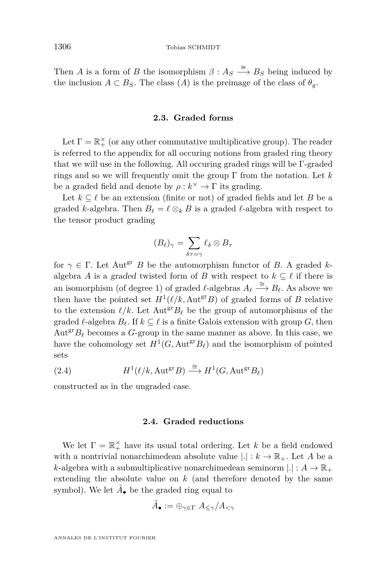<span id="page-6-0"></span>Then *A* is a form of *B* the isomorphism  $\beta: A_S \xrightarrow{\cong} B_S$  being induced by the inclusion  $A \subset B_S$ . The class  $(A)$  is the preimage of the class of  $\theta_g$ .

#### **2.3. Graded forms**

Let  $\Gamma = \mathbb{R}_+^{\times}$  (or any other commutative multiplicative group). The reader is referred to the appendix for all occuring notions from graded ring theory that we will use in the following. All occuring graded rings will be Γ-graded rings and so we will frequently omit the group Γ from the notation. Let *k* be a graded field and denote by  $\rho : k^{\times} \to \Gamma$  its grading.

Let  $k \subseteq \ell$  be an extension (finite or not) of graded fields and let *B* be a graded *k*-algebra. Then  $B_\ell = \ell \otimes_k B$  is a graded  $\ell$ -algebra with respect to the tensor product grading

$$
(B_{\ell})_{\gamma} = \sum_{\delta \tau = \gamma} \ell_{\delta} \otimes B_{\tau}
$$

for  $\gamma \in \Gamma$ . Let Aut<sup>gr</sup> *B* be the automorphism functor of *B*. A graded *k*algebra *A* is a graded twisted form of *B* with respect to  $k \subseteq \ell$  if there is an isomorphism (of degree 1) of graded  $\ell$ -algebras  $A_{\ell} \stackrel{\cong}{\longrightarrow} B_{\ell}$ . As above we then have the pointed set  $H^1(\ell/k, \text{Aut}^{\text{gr}}B)$  of graded forms of *B* relative to the extension  $\ell/k$ . Let  $\text{Aut}^{\text{gr}}B_{\ell}$  be the group of automorphisms of the graded  $\ell$ -algebra  $B_{\ell}$ . If  $k \subset \ell$  is a finite Galois extension with group *G*, then  $Aut<sup>gr</sup>B<sub>ℓ</sub>$  becomes a *G*-group in the same manner as above. In this case, we have the cohomology set  $H^1(G, \text{Aut}^{\text{gr}}B_\ell)$  and the isomorphism of pointed sets

(2.4) 
$$
H^1(\ell/k, \text{Aut}^{\text{gr}}B) \stackrel{\cong}{\longrightarrow} H^1(G, \text{Aut}^{\text{gr}}B_{\ell})
$$

constructed as in the ungraded case.

#### **2.4. Graded reductions**

We let  $\Gamma = \mathbb{R}_+^{\times}$  have its usual total ordering. Let *k* be a field endowed with a nontrivial nonarchimedean absolute value  $|.| : k \to \mathbb{R}_+$ . Let A be a *k*-algebra with a submultiplicative nonarchimedean seminorm  $|.|: A \to \mathbb{R}_+$ extending the absolute value on *k* (and therefore denoted by the same symbol). We let  $\tilde{A}_{\bullet}$  be the graded ring equal to

$$
\tilde{A}_\bullet:=\oplus_{\gamma\in\Gamma}\;A_{\leqslant\gamma}/A_{<\gamma}
$$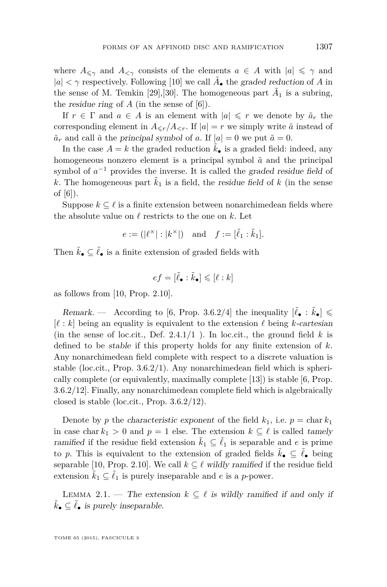where  $A_{\leq \gamma}$  and  $A_{\leq \gamma}$  consists of the elements  $a \in A$  with  $|a| \leq \gamma$  and  $|a| < \gamma$  respectively. Following [\[10\]](#page-46-0) we call  $\tilde{A}_\bullet$  the graded reduction of  $A$  in the sense of M. Temkin [\[29\]](#page-47-0),[\[30\]](#page-47-0). The homogeneous part  $\tilde{A}_1$  is a subring, the *residue ring* of  $\tilde{A}$  (in the sense of [\[6\]](#page-46-0)).

If  $r \in \Gamma$  and  $a \in A$  is an element with  $|a| \leq r$  we denote by  $\tilde{a}_r$  the corresponding element in  $A_{\leq r}/A_{\leq r}$ . If  $|a|=r$  we simply write  $\tilde{a}$  instead of  $\tilde{a}_r$  and call  $\tilde{a}$  the principal symbol of *a*. If  $|a| = 0$  we put  $\tilde{a} = 0$ .

In the case  $A = k$  the graded reduction  $k_{\bullet}$  is a graded field: indeed, any homogeneous nonzero element is a principal symbol  $\tilde{a}$  and the principal symbol of  $a^{-1}$  provides the inverse. It is called the graded residue field of k. The homogeneous part  $\tilde{k}_1$  is a field, the residue field of k (in the sense of [\[6\]](#page-46-0)).

Suppose  $k \subseteq \ell$  is a finite extension between nonarchimedean fields where the absolute value on  $\ell$  restricts to the one on  $k$ . Let

$$
e := (|\ell^{\times}| : |k^{\times}|) \text{ and } f := [\tilde{\ell}_1 : \tilde{k}_1].
$$

Then  $\tilde{k}_\bullet \subset \tilde{\ell}_\bullet$  is a finite extension of graded fields with

$$
ef = [\tilde{\ell}_{\bullet} : \tilde{k}_{\bullet}] \leqslant [\ell : k]
$$

as follows from [\[10,](#page-46-0) Prop. 2.10].

Remark. — According to [\[6,](#page-46-0) Prop. 3.6.2/4] the inequality  $\left|\tilde{\ell}_{\bullet} : \tilde{k}_{\bullet}\right| \leq$  $[\ell : k]$  being an equality is equivalent to the extension  $\ell$  being *k*-cartesian (in the sense of loc.cit., Def.  $2.4.1/1$ ). In loc.cit., the ground field  $k$  is defined to be stable if this property holds for any finite extension of *k*. Any nonarchimedean field complete with respect to a discrete valuation is stable (loc.cit., Prop. 3.6.2/1). Any nonarchimedean field which is spherically complete (or equivalently, maximally complete [\[13\]](#page-46-0)) is stable [\[6,](#page-46-0) Prop. 3.6.2/12]. Finally, any nonarchimedean complete field which is algebraically closed is stable (loc.cit., Prop. 3.6.2/12).

Denote by *p* the characteristic exponent of the field  $k_1$ , i.e.  $p = \text{char } k_1$ in case char  $k_1 > 0$  and  $p = 1$  else. The extension  $k \subseteq \ell$  is called tamely ramified if the residue field extension  $\tilde{k}_1 \subseteq \tilde{\ell}_1$  is separable and *e* is prime to *p*. This is equivalent to the extension of graded fields  $\tilde{k}_\bullet \subseteq \tilde{\ell}_\bullet$  being separable [\[10,](#page-46-0) Prop. 2.10]. We call  $k \subseteq \ell$  wildly ramified if the residue field extension  $\tilde{k}_1 \subseteq \tilde{\ell}_1$  is purely inseparable and *e* is a *p*-power.

LEMMA 2.1. — The extension  $k \subseteq \ell$  is wildly ramified if and only if  $\tilde{k}_\bullet \subseteq \tilde{\ell}_\bullet$  is purely inseparable.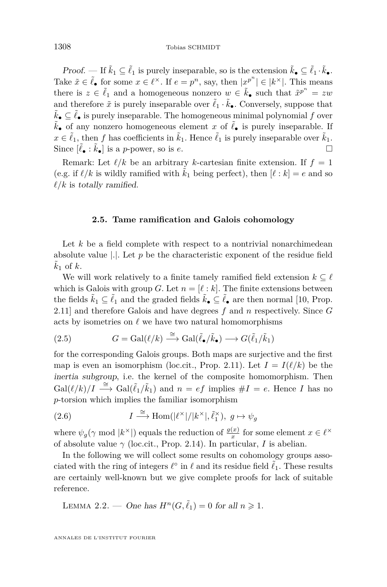<span id="page-8-0"></span>Proof. — If  $\tilde{k}_1 \subseteq \tilde{\ell}_1$  is purely inseparable, so is the extension  $\tilde{k}_\bullet \subseteq \tilde{\ell}_1 \cdot \tilde{k}_\bullet$ . Take  $\tilde{x} \in \tilde{\ell}_{\bullet}$  for some  $x \in \ell^{\times}$ . If  $e = p^{n}$ , say, then  $|x^{p^{n}}| \in |k^{\times}|$ . This means there is  $z \in \tilde{\ell}_1$  and a homogeneous nonzero  $w \in \tilde{k}_\bullet$  such that  $\tilde{x}^{p^n} = zw$ and therefore  $\tilde{x}$  is purely inseparable over  $\tilde{\ell}_1 \cdot \tilde{k}_\bullet$ . Conversely, suppose that  $\tilde{k}_\bullet$  ⊂  $\tilde{\ell}_\bullet$  is purely inseparable. The homogeneous minimal polynomial  $f$  over  $\tilde{k}_{\bullet}$  of any nonzero homogeneous element *x* of  $\tilde{\ell}_{\bullet}$  is purely inseparable. If  $x \in \tilde{\ell}_1$ , then *f* has coefficients in  $\tilde{k}_1$ . Hence  $\tilde{\ell}_1$  is purely inseparable over  $\tilde{k}_1$ . Since  $[\tilde{\ell}_{\bullet} : \tilde{k}_{\bullet}]$  is a *p*-power, so is *e*.

Remark: Let  $\ell/k$  be an arbitrary *k*-cartesian finite extension. If  $f = 1$ (e.g. if  $\ell/k$  is wildly ramified with  $k_1$  being perfect), then  $[\ell : k] = e$  and so  $\ell/k$  is totally ramified.

#### **2.5. Tame ramification and Galois cohomology**

Let *k* be a field complete with respect to a nontrivial nonarchimedean absolute value |*.*|. Let *p* be the characteristic exponent of the residue field  $k_1$  of  $k$ .

We will work relatively to a finite tamely ramified field extension  $k \subseteq \ell$ which is Galois with group *G*. Let  $n = [\ell : k]$ . The finite extensions between the fields  $\tilde{k}_1 \subseteq \tilde{\ell}_1$  and the graded fields  $\tilde{k}_\bullet \subseteq \tilde{\ell}_\bullet$  are then normal [\[10,](#page-46-0) Prop. 2.11] and therefore Galois and have degrees *f* and *n* respectively. Since *G* acts by isometries on  $\ell$  we have two natural homomorphisms

(2.5) 
$$
G = \text{Gal}(\ell/k) \stackrel{\cong}{\longrightarrow} \text{Gal}(\tilde{\ell}_{\bullet}/\tilde{k}_{\bullet}) \longrightarrow G(\tilde{\ell}_{1}/\tilde{k}_{1})
$$

for the corresponding Galois groups. Both maps are surjective and the first map is even an isomorphism (loc.cit., Prop. 2.11). Let  $I = I(\ell/k)$  be the inertia subgroup, i.e. the kernel of the composite homomorphism. Then  $Gal(\ell/k)/I \stackrel{\cong}{\longrightarrow} Gal(\tilde{\ell}_1/\tilde{k}_1)$  and  $n = ef$  implies  $\#I = e$ . Hence *I* has no *p*-torsion which implies the familiar isomorphism

(2.6) 
$$
I \stackrel{\cong}{\longrightarrow} \text{Hom}(|\ell^{\times}|/|k^{\times}|, \tilde{\ell}_1^{\times}), \ g \mapsto \psi_g
$$

where  $\psi_g(\gamma \mod |k^{\times}|)$  equals the reduction of  $\frac{g(x)}{x}$  for some element  $x \in \ell^{\times}$ of absolute value  $\gamma$  (loc.cit., Prop. 2.14). In particular, *I* is abelian.

In the following we will collect some results on cohomology groups associated with the ring of integers  $\ell^\circ$  in  $\ell$  and its residue field  $\tilde{\ell}_1$ . These results are certainly well-known but we give complete proofs for lack of suitable reference.

LEMMA 2.2. — One has  $H^n(G, \tilde{\ell}_1) = 0$  for all  $n \geq 1$ .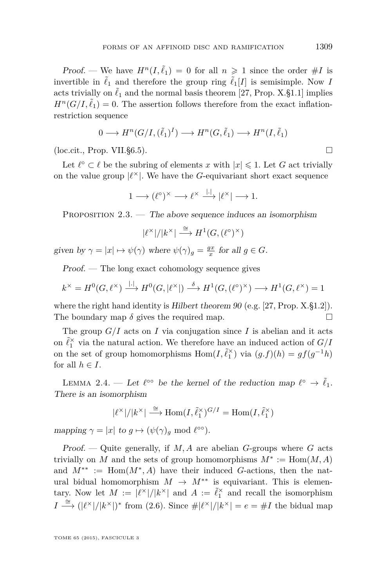<span id="page-9-0"></span>Proof. — We have  $H^n(I, \tilde{\ell}_1) = 0$  for all  $n \geq 1$  since the order  $\#I$  is invertible in  $\tilde{\ell}_1$  and therefore the group ring  $\tilde{\ell}_1[I]$  is semisimple. Now *I* acts trivially on  $\tilde{\ell}_1$  and the normal basis theorem [\[27,](#page-47-0) Prop. X.§1.1] implies  $H^n(G/I, \tilde{\ell}_1) = 0$ . The assertion follows therefore from the exact inflationrestriction sequence

$$
0 \longrightarrow H^n(G/I, (\tilde{\ell}_1)^I) \longrightarrow H^n(G, \tilde{\ell}_1) \longrightarrow H^n(I, \tilde{\ell}_1)
$$

 $(\text{loc.cit.}, \text{Prop. VII.}$ §6.5).

Let  $\ell^{\circ} \subset \ell$  be the subring of elements *x* with  $|x| \leq 1$ . Let *G* act trivially on the value group  $|\ell^{\times}|$ . We have the *G*-equivariant short exact sequence

 $1 \longrightarrow (\ell^{\circ})^{\times} \longrightarrow \ell^{\times} \stackrel{|.|}{\longrightarrow} |\ell^{\times}| \longrightarrow 1.$ 

PROPOSITION  $2.3.$  — The above sequence induces an isomorphism

$$
|\ell^{\times}|/|k^{\times}| \stackrel{\cong}{\longrightarrow} H^1(G, (\ell^{\circ})^{\times})
$$

given by  $\gamma = |x| \mapsto \psi(\gamma)$  where  $\psi(\gamma)_g = \frac{gx}{x}$  for all  $g \in G$ .

Proof. — The long exact cohomology sequence gives

$$
k^{\times} = H^{0}(G, \ell^{\times}) \xrightarrow{|.|} H^{0}(G, |\ell^{\times}|) \xrightarrow{\delta} H^{1}(G, (\ell^{\circ})^{\times}) \longrightarrow H^{1}(G, \ell^{\times}) = 1
$$

where the right hand identity is Hilbert theorem  $90$  (e.g. [\[27,](#page-47-0) Prop. X.§1.2]). The boundary map  $\delta$  gives the required map.  $\square$ 

The group  $G/I$  acts on *I* via conjugation since *I* is abelian and it acts on  $\tilde{\ell}_1^{\times}$  via the natural action. We therefore have an induced action of  $G/I$ on the set of group homomorphisms  $Hom(I, \tilde{\ell}_1^{\times})$  via  $(g.f)(h) = gf(g^{-1}h)$ for all  $h \in I$ .

LEMMA 2.4. — Let  $\ell^{\infty}$  be the kernel of the reduction map  $\ell^{\infty} \to \tilde{\ell}_1$ . There is an isomorphism

$$
|\ell^{\times}|/|k^{\times}| \stackrel{\cong}{\longrightarrow} \text{Hom}(I, \tilde{\ell}_1^{\times})^{G/I} = \text{Hom}(I, \tilde{\ell}_1^{\times})
$$

mapping  $\gamma = |x|$  to  $g \mapsto (\psi(\gamma))_g \mod l^{\infty}$ .

Proof. — Quite generally, if *M, A* are abelian *G*-groups where *G* acts trivially on *M* and the sets of group homomorphisms  $M^* := \text{Hom}(M, A)$ and  $M^{**} := \text{Hom}(M^*, A)$  have their induced *G*-actions, then the natural bidual homomorphism  $M \to M^{**}$  is equivariant. This is elementary. Now let  $M := |\ell^{\times}|/|k^{\times}|$  and  $A := \tilde{\ell}_1^{\times}$  and recall the isomorphism *I*  $\stackrel{\cong}{\longrightarrow}$  (| $\ell^{\times}$ |/| $k^{\times}$ |)<sup>\*</sup> from [\(2.6\)](#page-8-0). Since  $\#\ell^{\times}$ |/| $k^{\times}$ | = *e* = #*I* the bidual map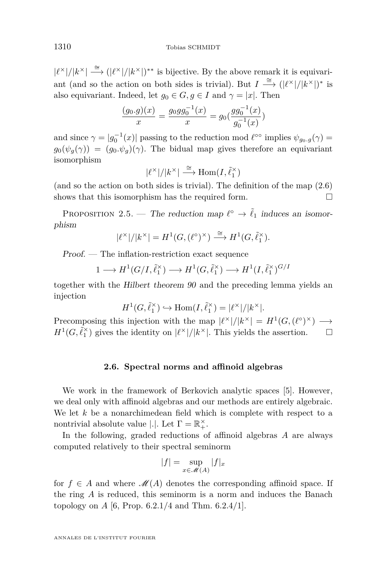<span id="page-10-0"></span> $|\ell^{\times}|/|k^{\times}| \stackrel{\cong}{\longrightarrow} (|\ell^{\times}|/|k^{\times}|)^{**}$  is bijective. By the above remark it is equivariant (and so the action on both sides is trivial). But  $I \stackrel{\cong}{\longrightarrow} (|\ell^{\times}|/|k^{\times}|)^*$  is also equivariant. Indeed, let  $g_0 \in G, g \in I$  and  $\gamma = |x|$ . Then

$$
\frac{(g_0.g)(x)}{x} = \frac{g_0gg_0^{-1}(x)}{x} = g_0(\frac{gg_0^{-1}(x)}{g_0^{-1}(x)})
$$

and since  $\gamma = |g_0^{-1}(x)|$  passing to the reduction mod  $\ell^{\infty}$  implies  $\psi_{g_0,g}(\gamma) =$  $g_0(\psi_q(\gamma)) = (g_0, \psi_q)(\gamma)$ . The bidual map gives therefore an equivariant isomorphism

$$
|\ell^{\times}|/|k^{\times}| \stackrel{\cong}{\longrightarrow} \text{Hom}(I, \tilde{\ell}_1^{\times})
$$

(and so the action on both sides is trivial). The definition of the map [\(2.6\)](#page-8-0) shows that this isomorphism has the required form.  $\Box$ 

PROPOSITION 2.5. — The reduction map  $\ell^{\circ} \to \tilde{\ell}_1$  induces an isomorphism

$$
|\ell^{\times}|/|k^{\times}| = H^1(G, (\ell^{\circ})^{\times}) \stackrel{\cong}{\longrightarrow} H^1(G, \tilde{\ell}_1^{\times}).
$$

Proof. — The inflation-restriction exact sequence

$$
1 \longrightarrow H^1(G/I, \tilde{\ell}_1^{\times}) \longrightarrow H^1(G, \tilde{\ell}_1^{\times}) \longrightarrow H^1(I, \tilde{\ell}_1^{\times})^{G/I}
$$

together with the Hilbert theorem 90 and the preceding lemma yields an injection

$$
H^1(G,\tilde{\ell}_1^\times) \hookrightarrow \text{Hom}(I,\tilde{\ell}_1^\times) = |\ell^\times|/|k^\times|.
$$

Precomposing this injection with the map  $|\ell^{\times}|/|k^{\times}| = H^1(G, (\ell^{\circ})^{\times}) \longrightarrow$  $H^1(G, \tilde{\ell}_1^{\times})$  gives the identity on  $|\ell^{\times}|/|k^{\times}|$ . This yields the assertion.  $\Box$ 

#### **2.6. Spectral norms and affinoid algebras**

We work in the framework of Berkovich analytic spaces [\[5\]](#page-46-0). However, we deal only with affinoid algebras and our methods are entirely algebraic. We let *k* be a nonarchimedean field which is complete with respect to a nontrivial absolute value  $|.|$ . Let  $\Gamma = \mathbb{R}^{\times}_+$ .

In the following, graded reductions of affinoid algebras *A* are always computed relatively to their spectral seminorm

$$
|f| = \sup_{x \in \mathcal{M}(A)} |f|_x
$$

for  $f \in A$  and where  $\mathcal{M}(A)$  denotes the corresponding affinoid space. If the ring *A* is reduced, this seminorm is a norm and induces the Banach topology on *A* [\[6,](#page-46-0) Prop. 6.2.1/4 and Thm. 6.2.4/1].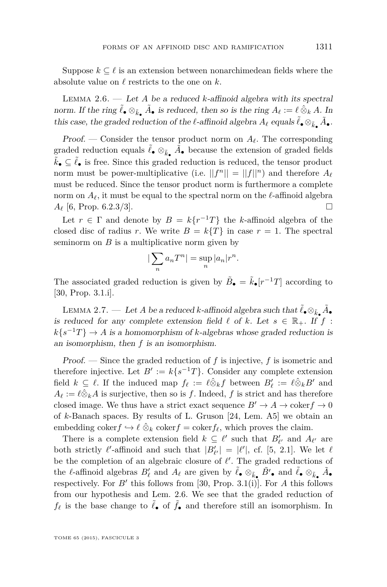<span id="page-11-0"></span>Lemma 2.6. — Let *A* be a reduced *k*-affinoid algebra with its spectral norm. If the ring  $\tilde{\ell}_{\bullet} \otimes_{\tilde{k}_{\bullet}} \tilde{A}_{\bullet}$  is reduced, then so is the ring  $A_{\ell} := \ell \otimes_k A$ . In this case, the graded reduction of the  $\ell$ -affinoid algebra  $A_{\ell}$  equals  $\tilde{\ell}_{\bullet} \otimes_{\tilde{k}_{\bullet}} \tilde{A}_{\bullet}$ .

Proof. — Consider the tensor product norm on  $A_{\ell}$ . The corresponding graded reduction equals  $\tilde{\ell}_\bullet \otimes_{\tilde{k}_\bullet} \tilde{A}_\bullet$  because the extension of graded fields  $\tilde{k}_\bullet \subseteq \tilde{\ell}_\bullet$  is free. Since this graded reduction is reduced, the tensor product norm must be power-multiplicative (i.e.  $||f^n|| = ||f||^n$ ) and therefore  $A_{\ell}$ must be reduced. Since the tensor product norm is furthermore a complete norm on  $A_\ell$ , it must be equal to the spectral norm on the  $\ell$ -affinoid algebra  $A_{\ell}$  [\[6,](#page-46-0) Prop. 6.2.3/3].

Let  $r \in \Gamma$  and denote by  $B = k\{r^{-1}T\}$  the *k*-affinoid algebra of the closed disc of radius *r*. We write  $B = k\{T\}$  in case  $r = 1$ . The spectral seminorm on  $B$  is a multiplicative norm given by

$$
\left|\sum_{n} a_n T^n\right| = \sup_{n} |a_n| r^n.
$$

The associated graded reduction is given by  $\tilde{B}_{\bullet} = \tilde{k}_{\bullet}[r^{-1}T]$  according to [\[30,](#page-47-0) Prop. 3.1.i].

LEMMA 2.7. — Let  $A$  be a reduced  $k$ -affinoid algebra such that  $\tilde{\ell}_\bullet \otimes_{\tilde{k}_\bullet} \tilde{A}_\bullet$ is reduced for any complete extension field  $\ell$  of  $k$ . Let  $s \in \mathbb{R}_+$ . If  $f$ :  $k\{s^{-1}T\} \rightarrow A$  is a homomorphism of *k*-algebras whose graded reduction is an isomorphism, then *f* is an isomorphism.

Proof. — Since the graded reduction of *f* is injective, *f* is isometric and therefore injective. Let  $B' := k\{s^{-1}T\}$ . Consider any complete extension field  $k \subseteq \ell$ . If the induced map  $f_{\ell} := \ell \hat{\otimes}_k f$  between  $B'_{\ell} := \ell \hat{\otimes}_k B'$  and  $A_{\ell} := \ell \hat{\otimes}_k A$  is surjective, then so is *f*. Indeed, *f* is strict and has therefore closed image. We thus have a strict exact sequence  $B' \to A \to \text{coker} f \to 0$ of *k*-Banach spaces. By results of L. Gruson [\[24,](#page-46-0) Lem. A5] we obtain an embedding coker $f \hookrightarrow \ell \hat{\otimes}_k$  coker $f = \text{coker} f_\ell$ , which proves the claim.

There is a complete extension field  $k \subseteq \ell'$  such that  $B'_{\ell'}$  and  $A_{\ell'}$  are both strictly  $\ell'$ -affinoid and such that  $|B'_{\ell'}| = |\ell'|$ , cf. [\[5,](#page-46-0) 2.1]. We let  $\ell$ be the completion of an algebraic closure of  $\ell'$ . The graded reductions of the *l*-affinoid algebras  $B'_\ell$  and  $A_\ell$  are given by  $\tilde{\ell}_\bullet \otimes_{\tilde{k}_\bullet} \tilde{B'}_\bullet$  and  $\tilde{\ell}_\bullet \otimes_{\tilde{k}_\bullet} \tilde{A}_\bullet$ respectively. For  $B'$  this follows from [\[30,](#page-47-0) Prop. 3.1(i)]. For  $A$  this follows from our hypothesis and Lem. 2.6. We see that the graded reduction of  $f_{\ell}$  is the base change to  $\tilde{\ell}_{\bullet}$  of  $\tilde{f}_{\bullet}$  and therefore still an isomorphism. In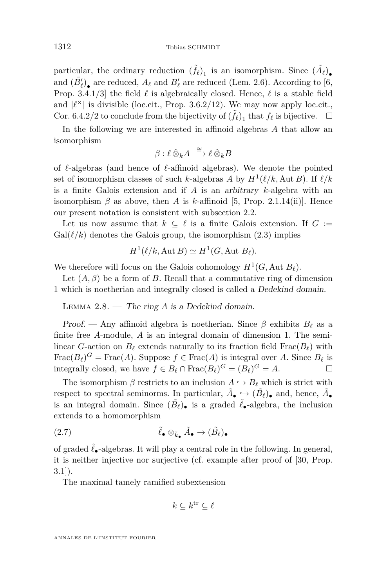particular, the ordinary reduction  $(\tilde{f}_{\ell})_1$  is an isomorphism. Since  $(\tilde{A}_{\ell})_{\bullet}$ and  $(\tilde{B}'_{\ell})_{\bullet}$  are reduced,  $A_{\ell}$  and  $B'_{\ell}$  are reduced (Lem. [2.6\)](#page-11-0). According to [\[6,](#page-46-0) Prop. 3.4.1/3] the field  $\ell$  is algebraically closed. Hence,  $\ell$  is a stable field and  $|\ell^{\times}|$  is divisible (loc.cit., Prop. 3.6.2/12). We may now apply loc.cit., Cor. 6.4.2/2 to conclude from the bijectivity of  $(\tilde{f}_\ell)_1$  that  $f_\ell$  is bijective.  $\Box$ 

In the following we are interested in affinoid algebras *A* that allow an isomorphism

$$
\beta:\ell\mathbin{\hat{\otimes}}_k A\stackrel{\cong}{\longrightarrow} \ell\mathbin{\hat{\otimes}}_k B
$$

of  $\ell$ -algebras (and hence of  $\ell$ -affinoid algebras). We denote the pointed set of isomorphism classes of such *k*-algebras *A* by  $H^1(\ell/k, \text{Aut } B)$ . If  $\ell/k$ is a finite Galois extension and if *A* is an arbitrary *k*-algebra with an isomorphism  $\beta$  as above, then *A* is *k*-affinoid [\[5,](#page-46-0) Prop. 2.1.14(ii)]. Hence our present notation is consistent with subsection [2.2.](#page-5-0)

Let us now assume that  $k \subseteq \ell$  is a finite Galois extension. If  $G :=$  $Gal(\ell/k)$  denotes the Galois group, the isomorphism  $(2.3)$  implies

$$
H^1(\ell/k, \text{Aut }B) \simeq H^1(G, \text{Aut }B_\ell).
$$

We therefore will focus on the Galois cohomology  $H^1(G, \text{Aut } B_\ell)$ .

Let  $(A, \beta)$  be a form of *B*. Recall that a commutative ring of dimension 1 which is noetherian and integrally closed is called a Dedekind domain.

Lemma 2.8. — The ring *A* is a Dedekind domain.

Proof. — Any affinoid algebra is noetherian. Since  $\beta$  exhibits  $B_\ell$  as a finite free *A*-module, *A* is an integral domain of dimension 1. The semilinear *G*-action on  $B_\ell$  extends naturally to its fraction field Frac $(B_\ell)$  with  $\text{Frac}(B_\ell)^G = \text{Frac}(A)$ . Suppose  $f \in \text{Frac}(A)$  is integral over *A*. Since  $B_\ell$  is integrally closed, we have  $f \in B_\ell \cap \text{Frac}(B_\ell)^G = (B_\ell)^G = A$ .

The isomorphism  $\beta$  restricts to an inclusion  $A \hookrightarrow B_{\ell}$  which is strict with respect to spectral seminorms. In particular,  $\tilde{A}_{\bullet} \hookrightarrow (\tilde{B}_{\ell})_{\bullet}$  and, hence,  $\tilde{A}_{\bullet}$ is an integral domain. Since  $(\tilde{B}_{\ell})_{\bullet}$  is a graded  $\tilde{\ell}_{\bullet}$ -algebra, the inclusion extends to a homomorphism

(2.7) 
$$
\tilde{\ell}_{\bullet} \otimes_{\tilde{k}_{\bullet}} \tilde{A}_{\bullet} \to (\tilde{B}_{\ell})_{\bullet}
$$

of graded  $\ell_{\bullet}$ -algebras. It will play a central role in the following. In general, it is neither injective nor surjective (cf. example after proof of [\[30,](#page-47-0) Prop.  $3.1$ ).

The maximal tamely ramified subextension

$$
k\subseteq k^{\mathrm{tr}}\subseteq \ell
$$

<span id="page-12-0"></span>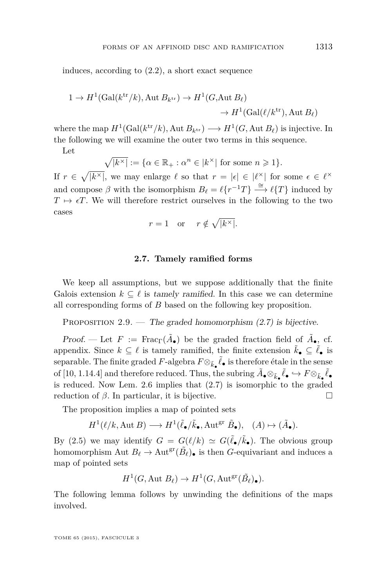induces, according to [\(2.2\)](#page-4-0), a short exact sequence

$$
1 \to H^1(\text{Gal}(k^{\text{tr}}/k), \text{Aut } B_{k^{\text{tr}}}) \to H^1(G, \text{Aut } B_\ell)
$$
  

$$
\to H^1(\text{Gal}(\ell/k^{\text{tr}}), \text{Aut } B_\ell)
$$

where the map  $H^1(\text{Gal}(k^{\text{tr}}/k), \text{Aut } B_{k^{\text{tr}}}) \longrightarrow H^1(G, \text{Aut } B_{\ell})$  is injective. In the following we will examine the outer two terms in this sequence.

Let

$$
\sqrt{|k^{\times}|} := \{ \alpha \in \mathbb{R}_{+} : \alpha^{n} \in |k^{\times}| \text{ for some } n \geq 1 \}.
$$

If  $r \in \sqrt{|k^{\times}|}$ , we may enlarge  $\ell$  so that  $r = |\epsilon| \in |\ell^{\times}|$  for some  $\epsilon \in \ell^{\times}$ and compose  $\beta$  with the isomorphism  $B_{\ell} = \ell \{r^{-1}T\} \stackrel{\cong}{\longrightarrow} \ell \{T\}$  induced by  $T \mapsto \epsilon T$ . We will therefore restrict ourselves in the following to the two cases

$$
r = 1 \quad \text{or} \quad r \notin \sqrt{|k^{\times}|}.
$$

#### **2.7. Tamely ramified forms**

We keep all assumptions, but we suppose additionally that the finite Galois extension  $k \subseteq \ell$  is tamely ramified. In this case we can determine all corresponding forms of *B* based on the following key proposition.

PROPOSITION  $2.9.$  — The graded homomorphism  $(2.7)$  is bijective.

Proof. — Let  $F := \text{Frac}_{\Gamma}(\tilde{A}_{\bullet})$  be the graded fraction field of  $\tilde{A}_{\bullet}$ , cf. appendix. Since  $k \subseteq \ell$  is tamely ramified, the finite extension  $\tilde{k}_{\bullet} \subseteq \tilde{\ell}_{\bullet}$  is separable. The finite graded  $F$ -algebra  $F \otimes_{\tilde{k}_\bullet} \tilde{\ell}_\bullet$  is therefore étale in the sense of [\[10,](#page-46-0) 1.14.4] and therefore reduced. Thus, the subring  $\tilde{A}_{\bullet} \otimes_{\tilde{k}_{\bullet}} \tilde{\ell}_{\bullet} \hookrightarrow F \otimes_{\tilde{k}_{\bullet}} \tilde{\ell}_{\bullet}$ is reduced. Now Lem. [2.6](#page-11-0) implies that [\(2.7\)](#page-12-0) is isomorphic to the graded reduction of  $\beta$ . In particular, it is bijective.

The proposition implies a map of pointed sets

$$
H^1(\ell/k, \text{Aut }B) \longrightarrow H^1(\tilde{\ell}_{\bullet}/\tilde{k}_{\bullet}, \text{Aut}^{\text{gr}} \tilde{B}_{\bullet}), \quad (A) \mapsto (\tilde{A}_{\bullet}).
$$

By [\(2.5\)](#page-8-0) we may identify  $G = G(\ell/k) \simeq G(\tilde{\ell}_{\bullet}/\tilde{k}_{\bullet})$ . The obvious group homomorphism Aut  $B_\ell \to \text{Aut}^{\text{gr}}(\tilde{B}_\ell)$  is then *G*-equivariant and induces a map of pointed sets

$$
H^1(G, \text{Aut } B_{\ell}) \to H^1(G, \text{Aut}^{\text{gr}}(\tilde{B}_{\ell})_{\bullet}).
$$

The following lemma follows by unwinding the definitions of the maps involved.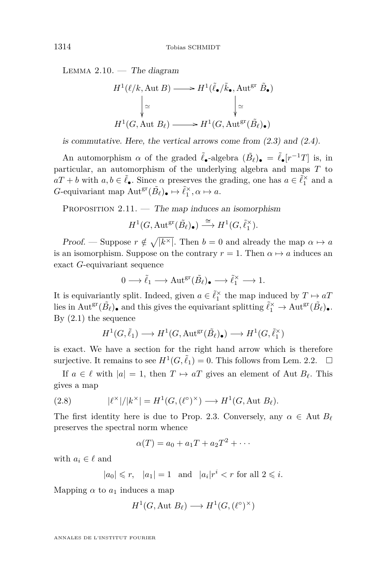<span id="page-14-0"></span>LEMMA  $2.10.$  — The diagram

$$
H^1(\ell/k, \text{Aut } B) \longrightarrow H^1(\tilde{\ell}_{\bullet}/\tilde{k}_{\bullet}, \text{Aut}^{\text{gr}} \tilde{B}_{\bullet})
$$

$$
\downarrow \simeq \qquad \qquad \downarrow \simeq
$$

$$
H^1(G, \text{Aut } B_{\ell}) \longrightarrow H^1(G, \text{Aut}^{\text{gr}}(\tilde{B}_{\ell})_{\bullet})
$$

is commutative. Here, the vertical arrows come from [\(2.3\)](#page-5-0) and [\(2.4\)](#page-6-0).

An automorphism  $\alpha$  of the graded  $\tilde{\ell}_{\bullet}$ -algebra  $(\tilde{B}_{\ell})_{\bullet} = \tilde{\ell}_{\bullet}[r^{-1}T]$  is, in particular, an automorphism of the underlying algebra and maps *T* to  $aT + b$  with  $a, b \in \tilde{\ell}_\bullet$ . Since  $\alpha$  preserves the grading, one has  $a \in \tilde{\ell}_1^\times$  and a *G*-equivariant map  $Aut^{\text{gr}}(\tilde{B}_{\ell})_{\bullet} \mapsto \tilde{\ell}_{1}^{\times}, \alpha \mapsto a$ .

PROPOSITION  $2.11.$  — The map induces an isomorphism

 $H^1(G, \text{Aut}^{\text{gr}}(\tilde{B}_{\ell})_{\bullet}) \stackrel{\cong}{\longrightarrow} H^1(G, \tilde{\ell}_1^{\times}).$ 

Proof. — Suppose  $r \notin \sqrt{\vert k^\times \vert}$ . Then  $b = 0$  and already the map  $\alpha \mapsto a$ is an isomorphism. Suppose on the contrary  $r = 1$ . Then  $\alpha \mapsto a$  induces an exact *G*-equivariant sequence

$$
0 \longrightarrow \tilde{\ell}_1 \longrightarrow \text{Aut}^{\text{gr}}(\tilde{B}_{\ell})_{\bullet} \longrightarrow \tilde{\ell}_1^{\times} \longrightarrow 1.
$$

It is equivariantly split. Indeed, given  $a \in \tilde{\ell}_1^\times$  the map induced by  $T \mapsto aT$ lies in  $\text{Aut}^{\text{gr}}(\tilde{B}_{\ell})_{\bullet}$  and this gives the equivariant splitting  $\tilde{\ell}_1^{\times} \to \text{Aut}^{\text{gr}}(\tilde{B}_{\ell})_{\bullet}$ . By  $(2.1)$  the sequence

$$
H^1(G,\tilde{\ell}_1) \longrightarrow H^1(G,{\rm Aut}^{\rm gr}(\tilde{B}_{\ell})_\bullet) \longrightarrow H^1(G,\tilde{\ell}_1^{\times})
$$

is exact. We have a section for the right hand arrow which is therefore surjective. It remains to see  $H^1(G, \tilde{\ell}_1) = 0$ . This follows from Lem. [2.2.](#page-8-0)  $\Box$ 

If  $a \in \ell$  with  $|a| = 1$ , then  $T \mapsto aT$  gives an element of Aut  $B_{\ell}$ . This gives a map

(2.8) 
$$
|\ell^{\times}|/|k^{\times}| = H^1(G, (\ell^{\circ})^{\times}) \longrightarrow H^1(G, \text{Aut } B_{\ell}).
$$

The first identity here is due to Prop. [2.3.](#page-9-0) Conversely, any  $\alpha \in \text{Aut } B_{\ell}$ preserves the spectral norm whence

$$
\alpha(T) = a_0 + a_1T + a_2T^2 + \cdots
$$

with  $a_i \in \ell$  and

 $|a_0| \le r$ ,  $|a_1| = 1$  and  $|a_i|r^i < r$  for all  $2 \le i$ .

Mapping  $\alpha$  to  $a_1$  induces a map

$$
H^1(G, \text{Aut } B_{\ell}) \longrightarrow H^1(G, (\ell^{\circ})^{\times})
$$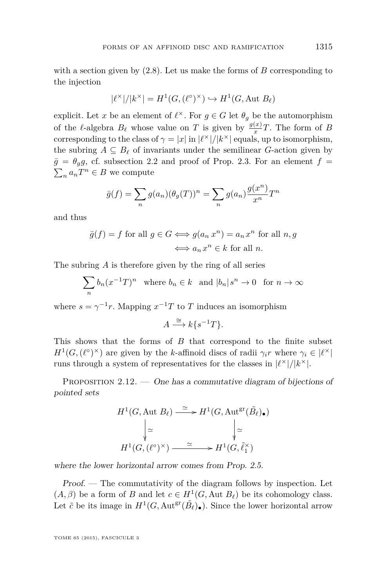with a section given by [\(2.8\)](#page-14-0). Let us make the forms of *B* corresponding to the injection

$$
|\ell^{\times}|/|k^{\times}| = H^1(G, (\ell^{\circ})^{\times}) \hookrightarrow H^1(G, \text{Aut } B_{\ell})
$$

explicit. Let *x* be an element of  $\ell^{\times}$ . For  $g \in G$  let  $\theta_g$  be the automorphism of the  $\ell$ -algebra  $B_{\ell}$  whose value on *T* is given by  $\frac{g(x)}{x}T$ . The form of *B* corresponding to the class of  $\gamma = |x|$  in  $|\ell^{\times}|/|k^{\times}|$  equals, up to isomorphism, the subring  $A \subseteq B_\ell$  of invariants under the semilinear *G*-action given by  $\bar{g} = \theta_{g}g$ , cf. subsection [2.2](#page-5-0) and proof of Prop. [2.3.](#page-9-0) For an element  $f =$  $\sum_{n} a_n T^n \in B$  we compute

$$
\bar{g}(f) = \sum_{n} g(a_n) (\theta_g(T))^n = \sum_{n} g(a_n) \frac{g(x^n)}{x^n} T^n
$$

and thus

$$
\bar{g}(f) = f \text{ for all } g \in G \Longleftrightarrow g(a_n x^n) = a_n x^n \text{ for all } n, g
$$

$$
\Longleftrightarrow a_n x^n \in k \text{ for all } n.
$$

The subring *A* is therefore given by the ring of all series

$$
\sum_{n} b_n (x^{-1}T)^n \quad \text{where } b_n \in k \quad \text{and } |b_n|s^n \to 0 \quad \text{for } n \to \infty
$$

where  $s = \gamma^{-1}r$ . Mapping  $x^{-1}T$  to *T* induces an isomorphism

$$
A \xrightarrow{\cong} k\{s^{-1}T\}.
$$

This shows that the forms of *B* that correspond to the finite subset  $H^1(G, (\ell^{\circ})^{\times})$  are given by the *k*-affinoid discs of radii  $\gamma_i r$  where  $\gamma_i \in |\ell^{\times}|$ runs through a system of representatives for the classes in  $\ell^{\times}$ // $k^{\times}$ .

PROPOSITION  $2.12.$  — One has a commutative diagram of bijections of pointed sets

$$
H^1(G, \text{Aut } B_\ell) \xrightarrow{\simeq} H^1(G, \text{Aut}^{\text{gr}}(\tilde{B}_\ell)_\bullet)
$$

$$
\downarrow \simeq \qquad \qquad \downarrow \simeq
$$

$$
H^1(G, (\ell^\circ)^\times) \xrightarrow{\simeq} H^1(G, \tilde{\ell}_1^\times)
$$

where the lower horizontal arrow comes from Prop. [2.5.](#page-10-0)

Proof. — The commutativity of the diagram follows by inspection. Let  $(A, \beta)$  be a form of *B* and let  $c \in H^1(G, \text{Aut } B_\ell)$  be its cohomology class. Let  $\tilde{c}$  be its image in  $H^1(G, \text{Aut}^{\text{gr}}(\tilde{B}_{\ell})_{\bullet})$ . Since the lower horizontal arrow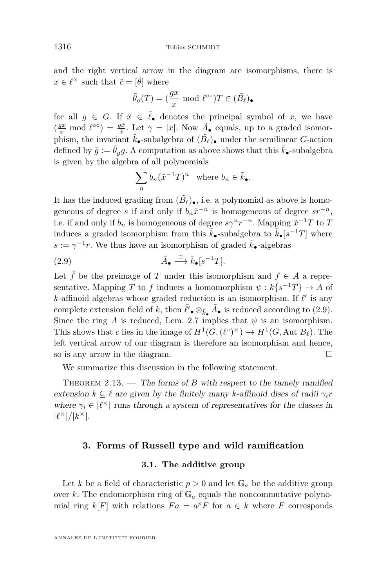<span id="page-16-0"></span>and the right vertical arrow in the diagram are isomorphisms, there is  $x \in \ell^{\times}$  such that  $\tilde{c} = [\tilde{\theta}]$  where

$$
\tilde{\theta}_g(T) = (\frac{gx}{x} \mod \ell^{\infty})T \in (\tilde{B}_{\ell})_{\bullet}
$$

for all  $g \in G$ . If  $\tilde{x} \in \tilde{\ell}_{\bullet}$  denotes the principal symbol of *x*, we have  $\left(\frac{gx}{x} \mod l^{\infty}\right) = \frac{g\tilde{x}}{\tilde{x}}$ . Let  $\gamma = |x|$ . Now  $\tilde{A}_{\bullet}$  equals, up to a graded isomorphism, the invariant  $\tilde{k}_{\bullet}$ -subalgebra of  $(\tilde{B}_{\ell})_{\bullet}$  under the semilinear *G*-action defined by  $\bar{g} := \bar{\theta}_g g$ . A computation as above shows that this  $\tilde{k}_{\bullet}$ -subalgebra is given by the algebra of all polynomials

$$
\sum_n b_n (\tilde{x}^{-1}T)^n \quad \text{where } b_n \in \tilde{k}_\bullet.
$$

It has the induced grading from  $(\tilde{B}_{\ell})_{\bullet}$ , i.e. a polynomial as above is homogeneous of degree *s* if and only if  $b_n\tilde{x}^{-n}$  is homogeneous of degree  $sr^{-n}$ , i.e. if and only if  $b_n$  is homogeneous of degree  $s\gamma^n r^{-n}$ . Mapping  $\tilde{x}^{-1}T$  to T induces a graded isomorphism from this  $\tilde{k}_\bullet$ -subalgebra to  $\tilde{k}_\bullet[s^{-1}T]$  where  $s := \gamma^{-1}r$ . We thus have an isomorphism of graded  $\tilde{k}_\bullet$ -algebras

(2.9) 
$$
\tilde{A}_{\bullet} \stackrel{\cong}{\longrightarrow} \tilde{k}_{\bullet}[s^{-1}T].
$$

Let  $\tilde{f}$  be the preimage of *T* under this isomorphism and  $f \in A$  a representative. Mapping *T* to *f* induces a homomorphism  $\psi : k\{s^{-1}T\} \to A$  of *k*-affinoid algebras whose graded reduction is an isomorphism. If  $\ell'$  is any complete extension field of *k*, then  $\tilde{\ell}' \bullet \otimes_{\tilde{k}_\bullet} \tilde{A}_\bullet$  is reduced according to (2.9). Since the ring *A* is reduced, Lem. [2.7](#page-11-0) implies that  $\psi$  is an isomorphism. This shows that *c* lies in the image of  $H^1(G, (\ell^{\circ})^{\times}) \hookrightarrow H^1(G, \text{Aut } B_{\ell}).$  The left vertical arrow of our diagram is therefore an isomorphism and hence, so is any arrow in the diagram.  $\square$ 

We summarize this discussion in the following statement.

THEOREM  $2.13.$  — The forms of *B* with respect to the tamely ramified extension  $k \subseteq \ell$  are given by the finitely many *k*-affinoid discs of radii  $\gamma_i r$ where  $\gamma_i \in |\ell^{\times}|$  runs through a system of representatives for the classes in  $|\ell^{\times}|/|k^{\times}|$ .

#### **3. Forms of Russell type and wild ramification**

#### **3.1. The additive group**

Let *k* be a field of characteristic  $p > 0$  and let  $\mathbb{G}_a$  be the additive group over *k*. The endomorphism ring of  $\mathbb{G}_a$  equals the noncommutative polynomial ring  $k[F]$  with relations  $Fa = a^pF$  for  $a \in k$  where F corresponds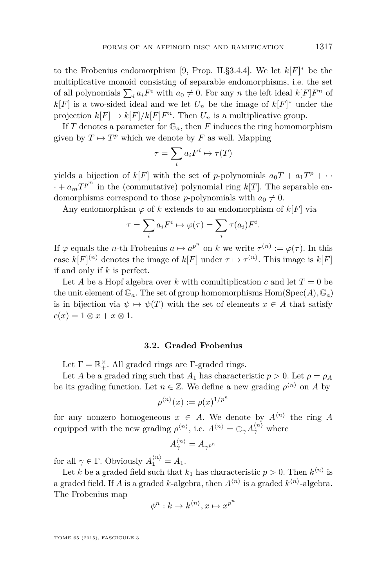to the Frobenius endomorphism [\[9,](#page-46-0) Prop. II.§3.4.4]. We let  $k[F]^*$  be the multiplicative monoid consisting of separable endomorphisms, i.e. the set of all polynomials  $\sum_i a_i F^i$  with  $a_0 \neq 0$ . For any *n* the left ideal  $k[F]F^n$  of  $k[F]$  is a two-sided ideal and we let  $U_n$  be the image of  $k[F]^*$  under the projection  $k[F] \to k[F]/k[F]F^n$ . Then  $U_n$  is a multiplicative group.

If *T* denotes a parameter for  $\mathbb{G}_a$ , then *F* induces the ring homomorphism given by  $T \mapsto T^p$  which we denote by  $F$  as well. Mapping

$$
\tau = \sum_i a_i F^i \mapsto \tau(T)
$$

yields a bijection of  $k[F]$  with the set of *p*-polynomials  $a_0T + a_1T^p + \cdots$  $\cdots + a_m T^{p^m}$  in the (commutative) polynomial ring  $k[T]$ . The separable endomorphisms correspond to those *p*-polynomials with  $a_0 \neq 0$ .

Any endomorphism  $\varphi$  of k extends to an endomorphism of  $k[F]$  via

$$
\tau = \sum_i a_i F^i \mapsto \varphi(\tau) = \sum_i \tau(a_i) F^i.
$$

If  $\varphi$  equals the *n*-th Frobenius  $a \mapsto a^{p^n}$  on *k* we write  $\tau^{(n)} := \varphi(\tau)$ . In this case  $k[F]^{(n)}$  denotes the image of  $k[F]$  under  $\tau \mapsto \tau^{(n)}$ . This image is  $k[F]$ if and only if *k* is perfect.

Let *A* be a Hopf algebra over *k* with comultiplication *c* and let  $T = 0$  be the unit element of  $\mathbb{G}_a$ . The set of group homomorphisms  $Hom(Spec(A), \mathbb{G}_a)$ is in bijection via  $\psi \mapsto \psi(T)$  with the set of elements  $x \in A$  that satisfy  $c(x) = 1 \otimes x + x \otimes 1$ .

#### **3.2. Graded Frobenius**

Let  $\Gamma = \mathbb{R}_+^{\times}$ . All graded rings are  $\Gamma$ -graded rings.

Let *A* be a graded ring such that  $A_1$  has characteristic  $p > 0$ . Let  $\rho = \rho_A$ be its grading function. Let  $n \in \mathbb{Z}$ . We define a new grading  $\rho^{\langle n \rangle}$  on *A* by

$$
\rho^{\langle n \rangle}(x) := \rho(x)^{1/p^n}
$$

for any nonzero homogeneous  $x \in A$ . We denote by  $A^{(n)}$  the ring A equipped with the new grading  $\rho^{(n)}$ , i.e.  $A^{(n)} = \bigoplus_{\gamma} A^{(n)}_{\gamma}$  where

$$
A_\gamma^{\langle n \rangle} = A_{\gamma^{p^n}}
$$

for all  $\gamma \in \Gamma$ . Obviously  $A_1^{\langle n \rangle} = A_1$ .

Let *k* be a graded field such that  $k_1$  has characteristic  $p > 0$ . Then  $k^{(n)}$  is a graded field. If *A* is a graded *k*-algebra, then  $A^{\langle n \rangle}$  is a graded  $k^{\langle n \rangle}$ -algebra. The Frobenius map

$$
\phi^n: k \to k^{\langle n \rangle}, x \mapsto x^{p^n}
$$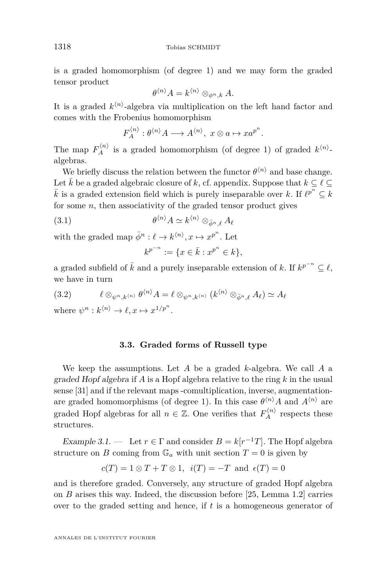is a graded homomorphism (of degree 1) and we may form the graded tensor product

$$
\theta^{\langle n \rangle} A = k^{\langle n \rangle} \otimes_{\phi^n, k} A.
$$

It is a graded  $k^{(n)}$ -algebra via multiplication on the left hand factor and comes with the Frobenius homomorphism

$$
F_A^{\langle n \rangle} : \theta^{\langle n \rangle} A \longrightarrow A^{\langle n \rangle}, \ x \otimes a \mapsto x a^{p^n}.
$$

The map  $F_A^{(n)}$  is a graded homomorphism (of degree 1) of graded  $k^{(n)}$ algebras.

We briefly discuss the relation between the functor  $\theta^{n}$  and base change. Let  $\bar{k}$  be a graded algebraic closure of *k*, cf. appendix. Suppose that  $k \subset \ell \subset$  $\bar{k}$  is a graded extension field which is purely inseparable over  $k$ . If  $\ell^{p^n} \subseteq k$ for some *n*, then associativity of the graded tensor product gives

(3.1) 
$$
\theta^{\langle n \rangle} A \simeq k^{\langle n \rangle} \otimes_{\bar{\phi}^n, \ell} A_{\ell}
$$

with the graded map  $\bar{\phi}^n : \ell \to k^{\langle n \rangle}, x \mapsto x^{p^n}$ . Let

$$
k^{p^{-n}} := \{ x \in \bar{k} : x^{p^n} \in k \},\
$$

a graded subfield of  $\bar{k}$  and a purely inseparable extension of  $k$ . If  $k^{p^{-n}} \subseteq \ell$ , we have in turn

$$
(3.2) \qquad \ell \otimes_{\psi^n, k^{(n)}} \theta^{(n)} A = \ell \otimes_{\psi^n, k^{(n)}} (k^{\langle n \rangle} \otimes_{\bar{\phi}^n, \ell} A_{\ell}) \simeq A_{\ell}
$$

where  $\psi^n : k^{\langle n \rangle} \to \ell, x \mapsto x^{1/p^n}$ .

#### **3.3. Graded forms of Russell type**

We keep the assumptions. Let *A* be a graded *k*-algebra. We call *A* a graded Hopf algebra if *A* is a Hopf algebra relative to the ring *k* in the usual sense [\[31\]](#page-47-0) and if the relevant maps -comultiplication, inverse, augmentationare graded homomorphisms (of degree 1). In this case  $\theta^{(n)} A$  and  $A^{(n)}$  are graded Hopf algebras for all  $n \in \mathbb{Z}$ . One verifies that  $F_A^{(n)}$  respects these structures.

Example 3.1. — Let  $r \in \Gamma$  and consider  $B = k[r^{-1}T]$ . The Hopf algebra structure on *B* coming from  $\mathbb{G}_a$  with unit section  $T=0$  is given by

$$
c(T) = 1 \otimes T + T \otimes 1, \ i(T) = -T \ \text{and} \ \epsilon(T) = 0
$$

and is therefore graded. Conversely, any structure of graded Hopf algebra on *B* arises this way. Indeed, the discussion before [\[25,](#page-46-0) Lemma 1.2] carries over to the graded setting and hence, if *t* is a homogeneous generator of

<span id="page-18-0"></span>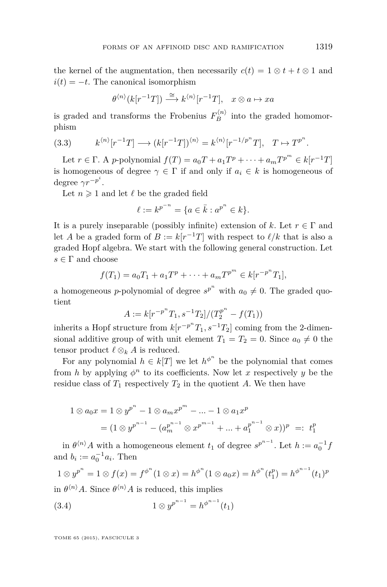<span id="page-19-0"></span>the kernel of the augmentation, then necessarily  $c(t) = 1 \otimes t + t \otimes 1$  and  $i(t) = -t$ . The canonical isomorphism

$$
\theta^{\langle n\rangle}(k[r^{-1}T]) \stackrel{\cong}{\longrightarrow} k^{\langle n\rangle}[r^{-1}T], \quad x \otimes a \mapsto xa
$$

is graded and transforms the Frobenius  $F_B^{(n)}$  into the graded homomorphism

(3.3) 
$$
k^{\langle n \rangle}[r^{-1}T] \longrightarrow (k[r^{-1}T])^{\langle n \rangle} = k^{\langle n \rangle}[r^{-1/p^n}T], \quad T \mapsto T^{p^n}.
$$

Let  $r \in \Gamma$ . A *p*-polynomial  $f(T) = a_0T + a_1T^p + \cdots + a_mT^{p^m} \in k[r^{-1}T]$ is homogeneous of degree  $\gamma \in \Gamma$  if and only if  $a_i \in k$  is homogeneous of degree  $\gamma r^{-p^i}$ .

Let  $n \geq 1$  and let  $\ell$  be the graded field

$$
\ell := k^{p^{-n}} = \{ a \in \bar{k} : a^{p^n} \in k \}.
$$

It is a purely inseparable (possibly infinite) extension of k. Let  $r \in \Gamma$  and let *A* be a graded form of  $B := k[r^{-1}T]$  with respect to  $\ell/k$  that is also a graded Hopf algebra. We start with the following general construction. Let  $s \in \Gamma$  and choose

$$
f(T_1) = a_0 T_1 + a_1 T^p + \dots + a_m T^{p^m} \in k[r^{-p^m}T_1],
$$

a homogeneous *p*-polynomial of degree  $s^{p^n}$  with  $a_0 \neq 0$ . The graded quotient

$$
A := k[r^{-p^{n}}T_1, s^{-1}T_2]/(T_2^{p^{n}} - f(T_1))
$$

inherits a Hopf structure from  $k[r^{-p^n}T_1, s^{-1}T_2]$  coming from the 2-dimensional additive group of with unit element  $T_1 = T_2 = 0$ . Since  $a_0 \neq 0$  the tensor product  $\ell \otimes_k A$  is reduced.

For any polynomial  $h \in k[T]$  we let  $h^{\phi^n}$  be the polynomial that comes from *h* by applying  $\phi^n$  to its coefficients. Now let *x* respectively *y* be the residue class of  $T_1$  respectively  $T_2$  in the quotient A. We then have

$$
1 \otimes a_0 x = 1 \otimes y^{p^n} - 1 \otimes a_m x^{p^m} - \dots - 1 \otimes a_1 x^p
$$
  
=  $(1 \otimes y^{p^{n-1}} - (a_m^{p^{n-1}} \otimes x^{p^{m-1}} + \dots + a_1^{p^{n-1}} \otimes x)^p =: t_1^p$ 

in  $\theta^{(n)}A$  with a homogeneous element  $t_1$  of degree  $s^{p^{n-1}}$ . Let  $h := a_0^{-1}f$ and  $b_i := a_0^{-1} a_i$ . Then

$$
1 \otimes y^{p^n} = 1 \otimes f(x) = f^{\phi^n}(1 \otimes x) = h^{\phi^n}(1 \otimes a_0 x) = h^{\phi^n}(t_1^p) = h^{\phi^{n-1}}(t_1)^p
$$

in  $\theta^{n}$ *A*. Since  $\theta^{n}$ *A* is reduced, this implies

(3.4) 
$$
1 \otimes y^{p^{n-1}} = h^{\phi^{n-1}}(t_1)
$$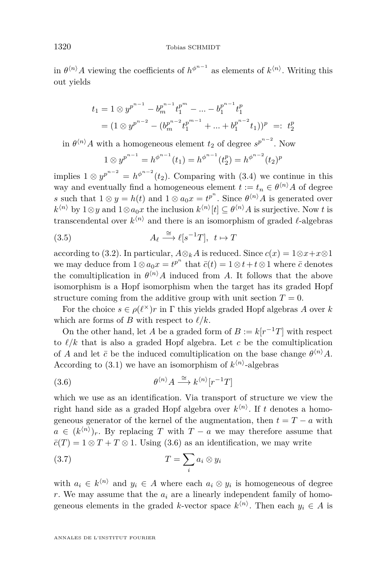<span id="page-20-0"></span>in  $\theta^{(n)}A$  viewing the coefficients of  $h^{\phi^{n-1}}$  as elements of  $k^{(n)}$ . Writing this out yields

$$
t_1 = 1 \otimes y^{p^{n-1}} - b_m^{p^{n-1}} t_1^{p^m} - \dots - b_1^{p^{n-1}} t_1^p
$$
  
=  $(1 \otimes y^{p^{n-2}} - (b_m^{p^{n-2}} t_1^{p^{m-1}} + \dots + b_1^{p^{n-2}} t_1))^p =: t_2^p$ 

in  $\theta^{n}$ <sup>*A*</sup> *A* with a homogeneous element *t*<sub>2</sub> of degree  $s^{p^{n-2}}$ . Now

$$
1 \otimes y^{p^{n-1}} = h^{\phi^{n-1}}(t_1) = h^{\phi^{n-1}}(t_2^p) = h^{\phi^{n-2}}(t_2)^p
$$

implies  $1 \otimes y^{p^{n-2}} = h^{\phi^{n-2}}(t_2)$ . Comparing with [\(3.4\)](#page-19-0) we continue in this way and eventually find a homogeneous element  $t := t_n \in \theta^{(n)}A$  of degree *s* such that  $1 \otimes y = h(t)$  and  $1 \otimes a_0 x = t^{p^n}$ . Since  $\theta^{n} A$  is generated over  $k^{\langle n \rangle}$  by 1⊗*y* and 1⊗*a*<sub>0</sub>*x* the inclusion  $k^{\langle n \rangle}[t] \subseteq \theta^{\langle n \rangle}A$  is surjective. Now *t* is transcendental over  $k^{\langle n \rangle}$  and there is an isomorphism of graded  $\ell$ -algebras

(3.5) 
$$
A_{\ell} \stackrel{\cong}{\longrightarrow} \ell[s^{-1}T], \quad t \mapsto T
$$

according to [\(3.2\)](#page-18-0). In particular,  $A \otimes_k A$  is reduced. Since  $c(x) = 1 \otimes x + x \otimes 1$ we may deduce from  $1 \otimes a_0 x = t^{p^n}$  that  $\bar{c}(t) = 1 \otimes t + t \otimes 1$  where  $\bar{c}$  denotes the comultiplication in  $\theta^{(n)}A$  induced from *A*. It follows that the above isomorphism is a Hopf isomorphism when the target has its graded Hopf structure coming from the additive group with unit section  $T = 0$ .

For the choice  $s \in \rho(\ell^{\times})r$  in  $\Gamma$  this yields graded Hopf algebras *A* over *k* which are forms of *B* with respect to  $\ell/k$ .

On the other hand, let *A* be a graded form of  $B := k[r^{-1}T]$  with respect to  $\ell/k$  that is also a graded Hopf algebra. Let *c* be the comultiplication of *A* and let  $\bar{c}$  be the induced comultiplication on the base change  $\theta^{(n)}A$ . According to  $(3.1)$  we have an isomorphism of  $k^{(n)}$ -algebras

(3.6) 
$$
\theta^{\langle n \rangle} A \stackrel{\cong}{\longrightarrow} k^{\langle n \rangle} [r^{-1}T]
$$

which we use as an identification. Via transport of structure we view the right hand side as a graded Hopf algebra over  $k^{(n)}$ . If t denotes a homogeneous generator of the kernel of the augmentation, then  $t = T - a$  with  $a \in (k^{(n)})_r$ . By replacing *T* with *T* − *a* we may therefore assume that  $\overline{c}(T) = 1 \otimes T + T \otimes 1$ . Using (3.6) as an identification, we may write

$$
(3.7) \t\t T = \sum_{i} a_i \otimes y_i
$$

with  $a_i \in k^{\langle n \rangle}$  and  $y_i \in A$  where each  $a_i \otimes y_i$  is homogeneous of degree *r*. We may assume that the  $a_i$  are a linearly independent family of homogeneous elements in the graded *k*-vector space  $k^{\langle n \rangle}$ . Then each  $y_i \in A$  is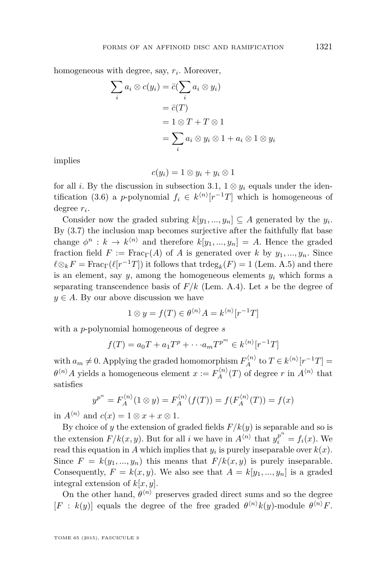homogeneous with degree, say,  $r_i$ . Moreover,

$$
\sum_{i} a_{i} \otimes c(y_{i}) = \bar{c}(\sum_{i} a_{i} \otimes y_{i})
$$

$$
= \bar{c}(T)
$$

$$
= 1 \otimes T + T \otimes 1
$$

$$
= \sum_{i} a_{i} \otimes y_{i} \otimes 1 + a_{i} \otimes 1 \otimes y_{i}
$$

implies

$$
c(y_i) = 1 \otimes y_i + y_i \otimes 1
$$

for all *i*. By the discussion in subsection [3.1,](#page-16-0)  $1 \otimes y_i$  equals under the iden-tification [\(3.6\)](#page-20-0) a *p*-polynomial  $f_i \in k^{(n)}[r^{-1}T]$  which is homogeneous of degree *r<sup>i</sup>* .

Consider now the graded subring  $k[y_1, ..., y_n] \subseteq A$  generated by the  $y_i$ . By [\(3.7\)](#page-20-0) the inclusion map becomes surjective after the faithfully flat base change  $\phi^n : k \to k^{\langle n \rangle}$  and therefore  $k[y_1, ..., y_n] = A$ . Hence the graded fraction field  $F := \text{Frac}_{\Gamma}(A)$  of A is generated over k by  $y_1, ..., y_n$ . Since  $\ell \otimes_k F = \text{Frac}_{\Gamma}(\ell[r^{-1}T])$  it follows that  $\text{trdeg}_k(F) = 1$  (Lem. [A.5\)](#page-45-0) and there is an element, say  $y$ , among the homogeneous elements  $y_i$  which forms a separating transcendence basis of *F/k* (Lem. [A.4\)](#page-45-0). Let *s* be the degree of  $y \in A$ . By our above discussion we have

$$
1 \otimes y = f(T) \in \theta^{\langle n \rangle} A = k^{\langle n \rangle} [r^{-1}T]
$$

with a *p*-polynomial homogeneous of degree *s*

$$
f(T) = a_0T + a_1T^p + \cdots + a_mT^{p^m} \in k^{\langle n \rangle}[r^{-1}T]
$$

with  $a_m \neq 0$ . Applying the graded homomorphism  $F_A^{(n)}$  to  $T \in k^{(n)}[r^{-1}T] =$  $\theta^{(n)}$ *A* yields a homogeneous element  $x := F_A^{(n)}(T)$  of degree *r* in  $A^{(n)}$  that satisfies

$$
y^{p^n} = F_A^{\langle n \rangle}(1 \otimes y) = F_A^{\langle n \rangle}(f(T)) = f(F_A^{\langle n \rangle}(T)) = f(x)
$$

in  $A^{\langle n \rangle}$  and  $c(x) = 1 \otimes x + x \otimes 1$ .

By choice of *y* the extension of graded fields  $F/k(y)$  is separable and so is the extension  $F/k(x, y)$ . But for all *i* we have in  $A^{(n)}$  that  $y_i^{p^n} = f_i(x)$ . We read this equation in *A* which implies that  $y_i$  is purely inseparable over  $k(x)$ . Since  $F = k(y_1, ..., y_n)$  this means that  $F/k(x, y)$  is purely inseparable. Consequently,  $F = k(x, y)$ . We also see that  $A = k[y_1, ..., y_n]$  is a graded integral extension of *k*[*x, y*].

On the other hand,  $\theta^{(n)}$  preserves graded direct sums and so the degree  $[F : k(y)]$  equals the degree of the free graded  $\theta^{(n)}k(y)$ -module  $\theta^{(n)}F$ .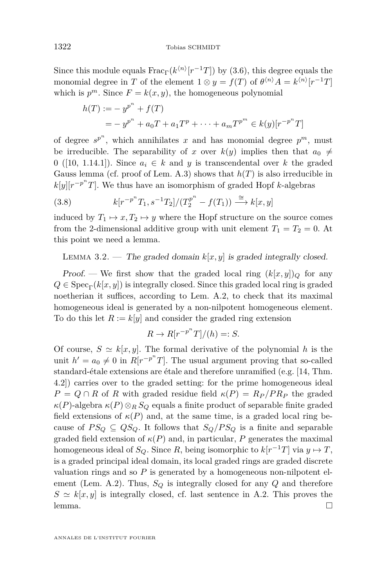<span id="page-22-0"></span>Since this module equals  $\text{Frac}_{\Gamma}(k^{\langle n \rangle}[r^{-1}T])$  by [\(3.6\)](#page-20-0), this degree equals the monomial degree in *T* of the element  $1 \otimes y = f(T)$  of  $\theta^{(n)}A = k^{(n)}[r^{-1}T]$ which is  $p^m$ . Since  $F = k(x, y)$ , the homogeneous polynomial

$$
h(T) := -y^{p^{n}} + f(T)
$$
  
=  $-y^{p^{n}} + a_0T + a_1T^p + \dots + a_mT^{p^{m}} \in k(y)[r^{-p^{n}}T]$ 

of degree  $s^{p^n}$ , which annihilates *x* and has monomial degree  $p^m$ , must be irreducible. The separability of *x* over  $k(y)$  implies then that  $a_0 \neq$ 0 ([\[10,](#page-46-0) 1.14.1]). Since  $a_i \in k$  and *y* is transcendental over *k* the graded Gauss lemma (cf. proof of Lem. [A.3\)](#page-43-0) shows that *h*(*T*) is also irreducible in  $k[y][r^{-p^n}T]$ . We thus have an isomorphism of graded Hopf *k*-algebras

(3.8) 
$$
k[r^{-p^n}T_1, s^{-1}T_2]/(T_2^{p^n} - f(T_1)) \xrightarrow{\cong} k[x, y]
$$

induced by  $T_1 \mapsto x, T_2 \mapsto y$  where the Hopf structure on the source comes from the 2-dimensional additive group with unit element  $T_1 = T_2 = 0$ . At this point we need a lemma.

LEMMA 3.2. — The graded domain  $k[x, y]$  is graded integrally closed.

Proof. — We first show that the graded local ring  $(k[x, y])_Q$  for any  $Q \in \text{Spec}_{\Gamma}(k[x, y])$  is integrally closed. Since this graded local ring is graded noetherian it suffices, according to Lem. [A.2,](#page-41-0) to check that its maximal homogeneous ideal is generated by a non-nilpotent homogeneous element. To do this let  $R := k[y]$  and consider the graded ring extension

$$
R \to R[r^{-p^n}T]/(h) =: S.
$$

Of course,  $S \simeq k[x, y]$ . The formal derivative of the polynomial *h* is the unit  $h' = a_0 \neq 0$  in  $R[r^{-p^n}T]$ . The usual argument proving that so-called standard-étale extensions are étale and therefore unramified (e.g. [\[14,](#page-46-0) Thm. 4.2]) carries over to the graded setting: for the prime homogeneous ideal  $P = Q \cap R$  of *R* with graded residue field  $\kappa(P) = R_P/P R_P$  the graded *κ*(*P*)-algebra  $κ(P) \otimes_R S_Q$  equals a finite product of separable finite graded field extensions of  $\kappa(P)$  and, at the same time, is a graded local ring because of  $PS_Q \subseteq QS_Q$ . It follows that  $S_Q/PS_Q$  is a finite and separable graded field extension of  $\kappa(P)$  and, in particular, P generates the maximal homogeneous ideal of  $S_Q$ . Since  $R$ , being isomorphic to  $k[r^{-1}T]$  via  $y \mapsto T$ , is a graded principal ideal domain, its local graded rings are graded discrete valuation rings and so *P* is generated by a homogeneous non-nilpotent element (Lem. [A.2\)](#page-41-0). Thus, *S<sup>Q</sup>* is integrally closed for any *Q* and therefore  $S \simeq k[x, y]$  is integrally closed, cf. last sentence in A.2. This proves the lemma.  $\Box$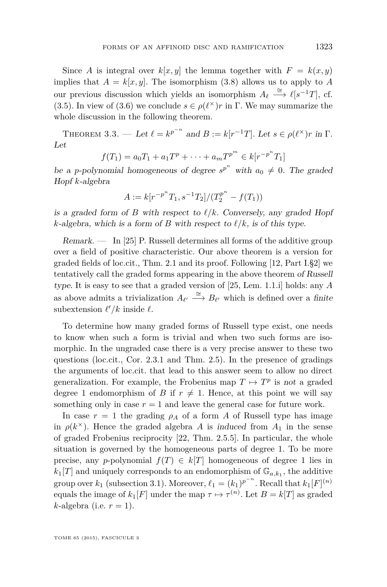<span id="page-23-0"></span>Since *A* is integral over  $k[x, y]$  the lemma together with  $F = k(x, y)$ implies that  $A = k[x, y]$ . The isomorphism [\(3.8\)](#page-22-0) allows us to apply to *A* our previous discussion which yields an isomorphism  $A_{\ell} \stackrel{\cong}{\longrightarrow} \ell[s^{-1}T]$ , cf. [\(3.5\)](#page-20-0). In view of [\(3.6\)](#page-20-0) we conclude  $s \in \rho(\ell^{\times})r$  in  $\Gamma$ . We may summarize the whole discussion in the following theorem.

THEOREM 3.3. — Let  $\ell = k^{p^{-n}}$  and  $B := k[r^{-1}T]$ . Let  $s \in \rho(\ell^{\times})r$  in  $\Gamma$ . Let

$$
f(T_1) = a_0 T_1 + a_1 T^p + \dots + a_m T^{p^m} \in k[r^{-p^m}T_1]
$$

be a *p*-polynomial homogeneous of degree  $s^{p^n}$  with  $a_0 \neq 0$ . The graded Hopf *k*-algebra

$$
A := k[r^{-p^{n}}T_1, s^{-1}T_2]/(T_2^{p^{n}} - f(T_1))
$$

is a graded form of *B* with respect to  $\ell/k$ . Conversely, any graded Hopf *k*-algebra, which is a form of *B* with respect to  $\ell/k$ , is of this type.

Remark. — In [\[25\]](#page-46-0) P. Russell determines all forms of the additive group over a field of positive characteristic. Our above theorem is a version for graded fields of loc.cit., Thm. 2.1 and its proof. Following [\[12,](#page-46-0) Part I.§2] we tentatively call the graded forms appearing in the above theorem of Russell type. It is easy to see that a graded version of [\[25,](#page-46-0) Lem. 1.1.i] holds: any *A* as above admits a trivialization  $A_{\ell'} \stackrel{\cong}{\longrightarrow} B_{\ell'}$  which is defined over a finite subextension  $\ell'/k$  inside  $\ell$ .

To determine how many graded forms of Russell type exist, one needs to know when such a form is trivial and when two such forms are isomorphic. In the ungraded case there is a very precise answer to these two questions (loc.cit., Cor. 2.3.1 and Thm. 2.5). In the presence of gradings the arguments of loc.cit. that lead to this answer seem to allow no direct generalization. For example, the Frobenius map  $T \mapsto T^p$  is not a graded degree 1 endomorphism of *B* if  $r \neq 1$ . Hence, at this point we will say something only in case  $r = 1$  and leave the general case for future work.

In case  $r = 1$  the grading  $\rho_A$  of a form *A* of Russell type has image in  $\rho(k^{\times})$ . Hence the graded algebra *A* is induced from  $A_1$  in the sense of graded Frobenius reciprocity [\[22,](#page-46-0) Thm. 2.5.5]. In particular, the whole situation is governed by the homogeneous parts of degree 1. To be more precise, any *p*-polynomial  $f(T) \in k[T]$  homogeneous of degree 1 lies in  $k_1[T]$  and uniquely corresponds to an endomorphism of  $\mathbb{G}_{a,k_1}$ , the additive group over  $k_1$  (subsection [3.1\)](#page-16-0). Moreover,  $\ell_1 = (k_1)^{p^{-n}}$ . Recall that  $k_1[F]^{(n)}$ equals the image of  $k_1[F]$  under the map  $\tau \mapsto \tau^{(n)}$ . Let  $B = k[T]$  as graded  $k$ -algebra (i.e.  $r = 1$ ).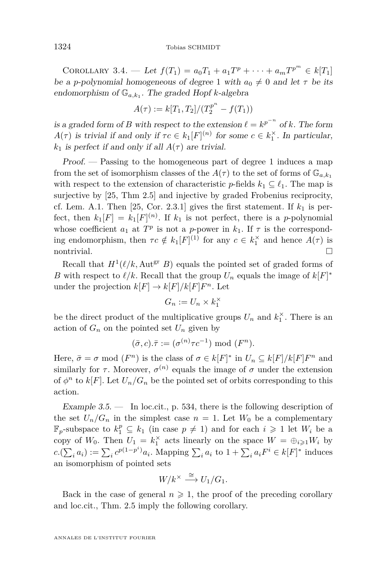COROLLARY 3.4. — Let  $f(T_1) = a_0T_1 + a_1T^p + \cdots + a_mT^{p^m} \in k[T_1]$ be a *p*-polynomial homogeneous of degree 1 with  $a_0 \neq 0$  and let  $\tau$  be its endomorphism of G*a,k*<sup>1</sup> . The graded Hopf *k*-algebra

$$
A(\tau) := k[T_1, T_2]/(T_2^{p^n} - f(T_1))
$$

is a graded form of *B* with respect to the extension  $\ell = k^{p^{-n}}$  of *k*. The form *A*(*τ*) is trivial if and only if  $\tau c \in k_1[F]^{(n)}$  for some  $c \in k_1^{\times}$ . In particular,  $k_1$  is perfect if and only if all  $A(\tau)$  are trivial.

Proof. — Passing to the homogeneous part of degree 1 induces a map from the set of isomorphism classes of the  $A(\tau)$  to the set of forms of  $\mathbb{G}_{a,k_1}$ with respect to the extension of characteristic *p*-fields  $k_1 \subseteq \ell_1$ . The map is surjective by [\[25,](#page-46-0) Thm 2.5] and injective by graded Frobenius reciprocity, cf. Lem. [A.1.](#page-41-0) Then  $[25, \text{Cor. } 2.3.1]$  $[25, \text{Cor. } 2.3.1]$  gives the first statement. If  $k_1$  is perfect, then  $k_1[F] = k_1[F]^{(n)}$ . If  $k_1$  is not perfect, there is a *p*-polynomial whose coefficient  $a_1$  at  $T^p$  is not a *p*-power in  $k_1$ . If  $\tau$  is the corresponding endomorphism, then  $\tau c \notin k_1[F]^{(1)}$  for any  $c \in k_1^{\times}$  and hence  $A(\tau)$  is  $\Box$ nontrivial.

Recall that  $H^1(\ell/k, \text{Aut}^{\text{gr}} B)$  equals the pointed set of graded forms of *B* with respect to  $\ell/k$ . Recall that the group  $U_n$  equals the image of  $k[F]^*$ under the projection  $k[F] \to k[F]/k[F]F^n$ . Let

$$
G_n := U_n \times k_1^{\times}
$$

be the direct product of the multiplicative groups  $U_n$  and  $k_1^{\times}$ . There is an action of  $G_n$  on the pointed set  $U_n$  given by

$$
(\bar{\sigma}, c).\bar{\tau} := (\sigma^{(n)}\tau c^{-1}) \bmod (F^n).
$$

Here,  $\bar{\sigma} = \sigma \mod (F^n)$  is the class of  $\sigma \in k[F]^*$  in  $U_n \subseteq k[F]/k[F]F^n$  and similarly for  $\tau$ . Moreover,  $\sigma^{(n)}$  equals the image of  $\sigma$  under the extension of  $\phi^n$  to  $k[F]$ . Let  $U_n/G_n$  be the pointed set of orbits corresponding to this action.

Example  $3.5.$  — In loc.cit., p. 534, there is the following description of the set  $U_n/G_n$  in the simplest case  $n = 1$ . Let  $W_0$  be a complementary  $\mathbb{F}_p$ -subspace to  $k_1^p \subseteq k_1$  (in case  $p \neq 1$ ) and for each  $i \geq 1$  let  $W_i$  be a copy of  $W_0$ . Then  $U_1 = k_1^{\times}$  acts linearly on the space  $W = \bigoplus_{i \geqslant 1} W_i$  by  $c(\sum_i a_i) := \sum_i c^{p(1-p^i)} a_i$ . Mapping  $\sum_i a_i$  to  $1 + \sum_i a_i F^i \in k[F]^*$  induces an isomorphism of pointed sets

$$
W/k^{\times} \stackrel{\cong}{\longrightarrow} U_1/G_1.
$$

Back in the case of general  $n \geq 1$ , the proof of the preceding corollary and loc.cit., Thm. 2.5 imply the following corollary.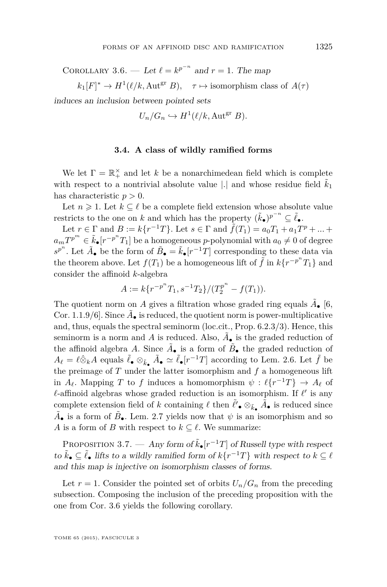COROLLARY 3.6. — Let  $\ell = k^{p^{-n}}$  and  $r = 1$ . The map

 $k_1[F]^* \to H^1(\ell/k, \text{Aut}^{\text{gr}} B)$ ,  $\tau \mapsto \text{isomorphism class of } A(\tau)$ 

induces an inclusion between pointed sets

$$
U_n/G_n \hookrightarrow H^1(\ell/k, \text{Aut}^{\text{gr}} B).
$$

#### **3.4. A class of wildly ramified forms**

We let  $\Gamma = \mathbb{R}_+^{\times}$  and let *k* be a nonarchimedean field which is complete with respect to a nontrivial absolute value  $|.|$  and whose residue field  $\tilde{k}_1$ has characteristic *p >* 0.

Let  $n \geq 1$ . Let  $k \subseteq \ell$  be a complete field extension whose absolute value restricts to the one on *k* and which has the property  $(\tilde{k}_\bullet)^{p^{-n}} \subseteq \tilde{\ell}_\bullet$ .

Let  $r \in \Gamma$  and  $B := k\{r^{-1}T\}$ . Let  $s \in \Gamma$  and  $\tilde{f}(T_1) = a_0T_1 + a_1T^p + ...$  $a_m T^{p^m} \in \tilde{k}_\bullet[r^{-p^n}T_1]$  be a homogeneous *p*-polynomial with  $a_0 \neq 0$  of degree  $s^{p^n}$ . Let  $\tilde{A}_\bullet$  be the form of  $\tilde{B}_\bullet = \tilde{k}_\bullet[r^{-1}T]$  corresponding to these data via the theorem above. Let  $f(T_1)$  be a homogeneous lift of  $\tilde{f}$  in  $k\{r^{-p^n}T_1\}$  and consider the affinoid *k*-algebra

$$
A:=k\{r^{-p^n}T_1,s^{-1}T_2\}/(T_2^{p^n}-f(T_1)).
$$

The quotient norm on  $A$  gives a filtration whose graded ring equals  $\tilde{A}_{\bullet}$  [\[6,](#page-46-0) Cor. 1.1.9/6]. Since  $\tilde{A}_{\bullet}$  is reduced, the quotient norm is power-multiplicative and, thus, equals the spectral seminorm (loc.cit., Prop. 6.2.3/3). Hence, this seminorm is a norm and  $A$  is reduced. Also,  $\tilde{A}_{\bullet}$  is the graded reduction of the affinoid algebra *A*. Since  $\tilde{A}_{\bullet}$  is a form of  $\tilde{B}_{\bullet}$  the graded reduction of  $A_{\ell} = \ell \hat{\otimes}_k A$  equals  $\tilde{\ell}_\bullet \otimes_{\tilde{k}_\bullet} \tilde{A}_\bullet \simeq \tilde{\ell}_\bullet[r^{-1}T]$  according to Lem. [2.6.](#page-11-0) Let  $\tilde{f}$  be the preimage of  $T$  under the latter isomorphism and  $f$  a homogeneous lift in  $A_{\ell}$ . Mapping *T* to *f* induces a homomorphism  $\psi : \ell\{r^{-1}T\} \to A_{\ell}$  of  $\ell$ -affinoid algebras whose graded reduction is an isomorphism. If  $\ell'$  is any complete extension field of *k* containing  $\ell$  then  $\tilde{\ell}'$   $\otimes_{\tilde{k}_\bullet} \tilde{A}_\bullet$  is reduced since  $\tilde{A}_{\bullet}$  is a form of  $\tilde{B}_{\bullet}$ . Lem. [2.7](#page-11-0) yields now that  $\psi$  is an isomorphism and so *A* is a form of *B* with respect to  $k \subseteq \ell$ . We summarize:

PROPOSITION 3.7. — Any form of  $\tilde{k}_\bullet[r^{-1}T]$  of Russell type with respect to  $\tilde{k}_\bullet \subseteq \tilde{\ell}_\bullet$  lifts to a wildly ramified form of  $k\{r^{-1}T\}$  with respect to  $k \subseteq \ell$ and this map is injective on isomorphism classes of forms.

Let  $r = 1$ . Consider the pointed set of orbits  $U_n/G_n$  from the preceding subsection. Composing the inclusion of the preceding proposition with the one from Cor. 3.6 yields the following corollary.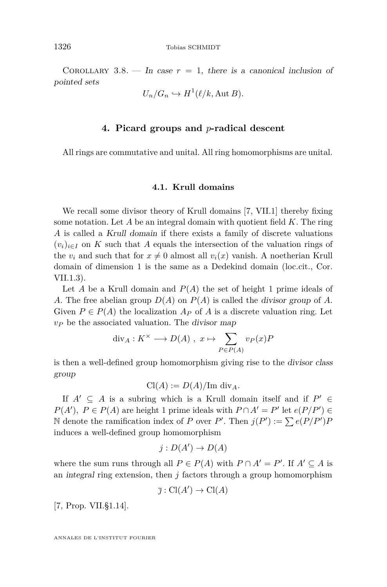<span id="page-26-0"></span>COROLLARY 3.8. — In case  $r = 1$ , there is a canonical inclusion of pointed sets

$$
U_n/G_n \hookrightarrow H^1(\ell/k, \text{Aut } B).
$$

#### **4. Picard groups and** *p***-radical descent**

All rings are commutative and unital. All ring homomorphisms are unital.

#### **4.1. Krull domains**

We recall some divisor theory of Krull domains [\[7,](#page-46-0) VII.1] thereby fixing some notation. Let *A* be an integral domain with quotient field *K*. The ring *A* is called a Krull domain if there exists a family of discrete valuations  $(v_i)_{i \in I}$  on K such that A equals the intersection of the valuation rings of the  $v_i$  and such that for  $x \neq 0$  almost all  $v_i(x)$  vanish. A noetherian Krull domain of dimension 1 is the same as a Dedekind domain (loc.cit., Cor. VII.1.3).

Let *A* be a Krull domain and  $P(A)$  the set of height 1 prime ideals of *A*. The free abelian group *D*(*A*) on *P*(*A*) is called the divisor group of *A*. Given  $P \in P(A)$  the localization  $A_P$  of  $A$  is a discrete valuation ring. Let *v<sup>P</sup>* be the associated valuation. The divisor map

$$
div_A: K^{\times} \longrightarrow D(A) , x \mapsto \sum_{P \in P(A)} v_P(x)P
$$

is then a well-defined group homomorphism giving rise to the divisor class group

 $Cl(A) := D(A)/\text{Im div}_A$ .

If  $A' \subseteq A$  is a subring which is a Krull domain itself and if  $P' \in$ *P*(*A*<sup> $\prime$ </sup>), *P* ∈ *P*(*A*) are height 1 prime ideals with *P* ∩ *A*<sup> $\prime$ </sup> = *P*<sup> $\prime$ </sup> let *e*(*P*/*P*<sup> $\prime$ </sup>) ∈ N denote the ramification index of *P* over *P'*. Then  $j(P') := \sum e(P/P')P$ induces a well-defined group homomorphism

$$
j: D(A') \to D(A)
$$

where the sum runs through all  $P \in P(A)$  with  $P \cap A' = P'$ . If  $A' \subseteq A$  is an integral ring extension, then *j* factors through a group homomorphism

$$
\overline{\jmath} : \operatorname{Cl}(A') \to \operatorname{Cl}(A)
$$

[\[7,](#page-46-0) Prop. VII.§1.14].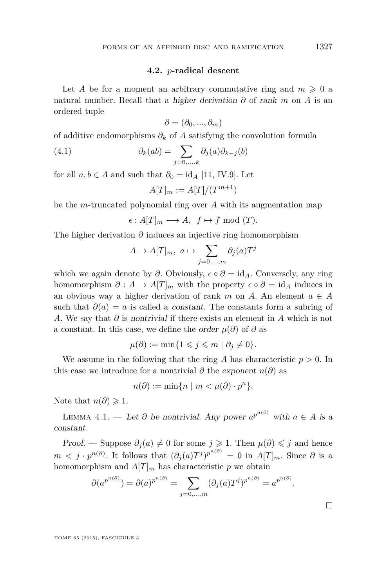#### **4.2.** *p***-radical descent**

<span id="page-27-0"></span>Let *A* be for a moment an arbitrary commutative ring and  $m \geq 0$  a natural number. Recall that a *higher derivation*  $\partial$  of rank  $m$  on  $A$  is an ordered tuple

$$
\partial = (\partial_0, ..., \partial_m)
$$

of additive endomorphisms  $\partial_k$  of *A* satisfying the convolution formula

(4.1) 
$$
\partial_k(ab) = \sum_{j=0,\ldots,k} \partial_j(a)\partial_{k-j}(b)
$$

for all  $a, b \in A$  and such that  $\partial_0 = id_A$  [\[11,](#page-46-0) IV.9]. Let

$$
A[T]_m := A[T]/(T^{m+1})
$$

be the *m*-truncated polynomial ring over *A* with its augmentation map

$$
\epsilon: A[T]_m \longrightarrow A, \ f \mapsto f \text{ mod } (T).
$$

The higher derivation *∂* induces an injective ring homomorphism

$$
A \to A[T]_m, \ a \mapsto \sum_{j=0,\dots,m} \partial_j(a)T^j
$$

which we again denote by  $\partial$ . Obviously,  $\epsilon \circ \partial = id_A$ . Conversely, any ring homomorphism  $\partial : A \to A[T]_m$  with the property  $\epsilon \circ \partial = id_A$  induces in an obvious way a higher derivation of rank *m* on *A*. An element  $a \in A$ such that  $\partial(a) = a$  is called a constant. The constants form a subring of *A*. We say that *∂* is nontrivial if there exists an element in *A* which is not a constant. In this case, we define the order  $\mu(\partial)$  of  $\partial$  as

$$
\mu(\partial) := \min\{1 \leqslant j \leqslant m \mid \partial_j \neq 0\}.
$$

We assume in the following that the ring *A* has characteristic *p >* 0. In this case we introduce for a nontrivial  $\partial$  the exponent  $n(\partial)$  as

$$
n(\partial) := \min\{n \mid m < \mu(\partial) \cdot p^n\}.
$$

Note that  $n(\partial) \geq 1$ .

LEMMA 4.1. — Let  $\partial$  be nontrivial. Any power  $a^{p^{n(\partial)}}$  with  $a \in A$  is a constant.

Proof. — Suppose  $\partial_j(a) \neq 0$  for some  $j \geq 1$ . Then  $\mu(\partial) \leq j$  and hence  $m < j \cdot p^{n(\partial)}$ . It follows that  $(\partial_j(a)T^j)^{p^{n(\partial)}} = 0$  in  $A[T]_m$ . Since  $\partial$  is a homomorphism and  $A[T]_m$  has characteristic p we obtain

$$
\partial(a^{p^{n(\partial)}}) = \partial(a)^{p^{n(\partial)}} = \sum_{j=0,\dots,m} (\partial_j(a)T^j)^{p^{n(\partial)}} = a^{p^{n(\partial)}}.
$$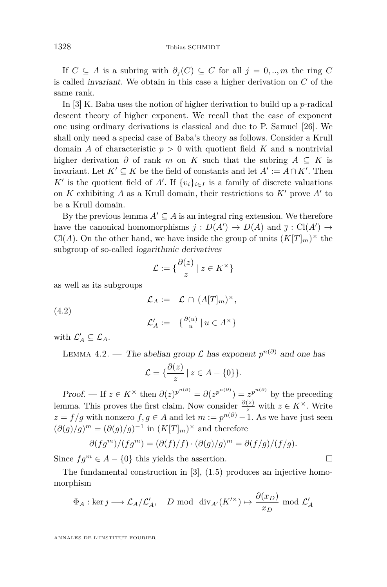<span id="page-28-0"></span>If *C* ⊆ *A* is a subring with *∂<sup>j</sup>* (*C*) ⊆ *C* for all *j* = 0*, .., m* the ring *C* is called invariant. We obtain in this case a higher derivation on *C* of the same rank.

In [\[3\]](#page-46-0) K. Baba uses the notion of higher derivation to build up a *p*-radical descent theory of higher exponent. We recall that the case of exponent one using ordinary derivations is classical and due to P. Samuel [\[26\]](#page-47-0). We shall only need a special case of Baba's theory as follows. Consider a Krull domain *A* of characteristic  $p > 0$  with quotient field *K* and a nontrivial higher derivation  $\partial$  of rank *m* on *K* such that the subring  $A \subseteq K$  is invariant. Let  $K' \subseteq K$  be the field of constants and let  $A' := A \cap K'$ . Then *K*<sup> $\prime$ </sup> is the quotient field of *A*<sup> $\prime$ </sup>. If  $\{v_i\}_{i \in I}$  is a family of discrete valuations on  $K$  exhibiting  $A$  as a Krull domain, their restrictions to  $K'$  prove  $A'$  to be a Krull domain.

By the previous lemma  $A' \subseteq A$  is an integral ring extension. We therefore have the canonical homomorphisms  $j: D(A') \to D(A)$  and  $\overline{j}: Cl(A') \to$ Cl(*A*). On the other hand, we have inside the group of units  $(K[T]_m)^\times$  the subgroup of so-called logarithmic derivatives

$$
\mathcal{L} := \{ \frac{\partial(z)}{z} \mid z \in K^{\times} \}
$$

as well as its subgroups

$$
\mathcal{L}_A := \mathcal{L} \cap (A[T]_m)^{\times},
$$
  

$$
\mathcal{L}'_A := \{ \frac{\partial(u)}{u} \mid u \in A^{\times} \}
$$

with  $\mathcal{L}_A' \subseteq \mathcal{L}_A$ .

(4.2)

LEMMA 4.2. — The abelian group 
$$
\mathcal{L}
$$
 has exponent  $p^{n(\partial)}$  and one has

$$
\mathcal{L} = \{ \frac{\partial(z)}{z} \mid z \in A - \{0\} \}.
$$

Proof. — If  $z \in K^\times$  then  $\partial(z)^{p^{n(\partial)}} = \partial(z^{p^{n(\partial)}}) = z^{p^{n(\partial)}}$  by the preceding lemma. This proves the first claim. Now consider  $\frac{\partial(z)}{z}$  with  $z \in K^{\times}$ . Write  $z = f/g$  with nonzero  $f, g \in A$  and let  $m := p^{n(\partial)} - 1$ . As we have just seen  $(\partial(g)/g)^m = (\partial(g)/g)^{-1}$  in  $(K[T]_m)^\times$  and therefore

$$
\partial(fg^m)/(fg^m) = (\partial(f)/f) \cdot (\partial(g)/g)^m = \partial(f/g)/(f/g).
$$

Since  $fg^m$  ∈ *A* − {0} this yields the assertion.  $\Box$ 

The fundamental construction in [\[3\]](#page-46-0), (1.5) produces an injective homomorphism

$$
\Phi_A : \ker \overline{\jmath} \longrightarrow \mathcal{L}_A/\mathcal{L}'_A
$$
, *D* mod  $\text{div}_{A'}(K'^{\times}) \mapsto \frac{\partial(x_D)}{x_D}$  mod  $\mathcal{L}'_A$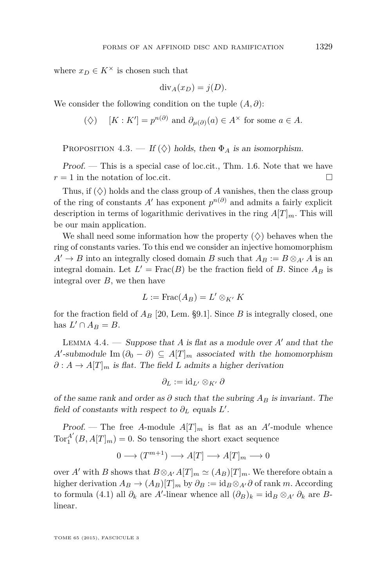<span id="page-29-0"></span>where  $x_D \in K^\times$  is chosen such that

$$
\mathrm{div}_A(x_D) = j(D).
$$

We consider the following condition on the tuple (*A, ∂*):

 $(\diamondsuit)$   $[K: K'] = p^{n(\partial)}$  and  $\partial_{\mu(\partial)}(a) \in A^{\times}$  for some  $a \in A$ .

PROPOSITION 4.3. — If  $(\diamondsuit)$  holds, then  $\Phi_A$  is an isomorphism.

Proof. — This is a special case of loc.cit., Thm. 1.6. Note that we have  $r = 1$  in the notation of loc.cit.

Thus, if  $(\Diamond)$  holds and the class group of *A* vanishes, then the class group of the ring of constants  $A'$  has exponent  $p^{n(\partial)}$  and admits a fairly explicit description in terms of logarithmic derivatives in the ring  $A[T]_m$ . This will be our main application.

We shall need some information how the property  $(\diamondsuit)$  behaves when the ring of constants varies. To this end we consider an injective homomorphism  $A' \rightarrow B$  into an integrally closed domain *B* such that  $A_B := B \otimes_{A'} A$  is an integral domain. Let  $L' = \text{Frac}(B)$  be the fraction field of *B*. Since  $A_B$  is integral over *B*, we then have

$$
L := \operatorname{Frac}(A_B) = L' \otimes_{K'} K
$$

for the fraction field of  $A_B$  [\[20,](#page-46-0) Lem. §9.1]. Since  $B$  is integrally closed, one has  $L' \cap A_B = B$ .

LEMMA  $4.4.$  — Suppose that A is flat as a module over A' and that the *A*<sup> $\prime$ </sup>-submodule Im  $(\partial_0 - \partial) \subseteq A[T]_m$  associated with the homomorphism  $\partial : A \to A[T]_m$  is flat. The field *L* admits a higher derivation

$$
\partial_L := \mathrm{id}_{L'} \otimes_{K'} \partial
$$

of the same rank and order as  $\partial$  such that the subring  $A_B$  is invariant. The field of constants with respect to  $\partial_L$  equals  $L'$ .

Proof. – The free A-module  $A[T]_m$  is flat as an A'-module whence  $\operatorname{Tor}_1^{A'}$  $\binom{A}{1}(B, A[T]_m) = 0$ . So tensoring the short exact sequence

$$
0 \longrightarrow (T^{m+1}) \longrightarrow A[T] \longrightarrow A[T]_m \longrightarrow 0
$$

over *A'* with *B* shows that  $B \otimes_{A'} A[T]_m \simeq (A_B)[T]_m$ . We therefore obtain a higher derivation  $A_B \to (A_B)[T]_m$  by  $\partial_B := id_B \otimes_{A'} \partial$  of rank *m*. According to formula [\(4.1\)](#page-27-0) all  $\partial_k$  are *A'*-linear whence all  $(\partial_B)_k = id_B \otimes_{A'} \partial_k$  are *B*linear.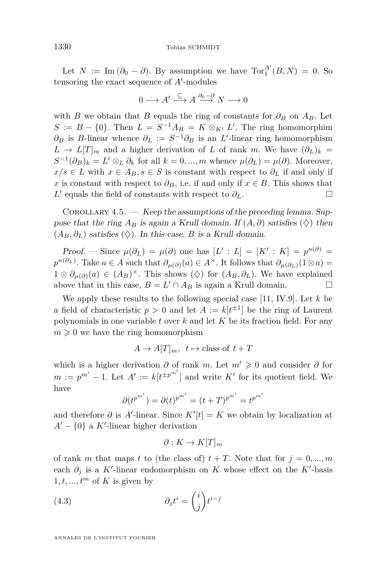<span id="page-30-0"></span>Let  $N := \text{Im}(\partial_0 - \partial)$ . By assumption we have  $\text{Tor}_1^{A'}$  $_1^A$   $(B, N) = 0$ . So tensoring the exact sequence of  $A'$ -modules

$$
0 \longrightarrow A' \stackrel{\subseteq}{\longrightarrow} A \stackrel{\partial_0 - \partial}{\longrightarrow} N \longrightarrow 0
$$

with *B* we obtain that *B* equals the ring of constants for  $\partial_B$  on  $A_B$ . Let  $S := B - \{0\}$ . Then  $L = S^{-1}A_B = K \otimes_{K'} L'$ . The ring homomorphim *∂*<sup>B</sup> is *B*-linear whence  $\partial$ <sup>*L*</sup> :=  $S^{-1}\partial$ <sup>B</sup> is an *L*'-linear ring homomorphism  $L \rightarrow L[T]_m$  and a higher derivation of *L* of rank *m*. We have  $(\partial_L)_k =$  $S^{-1}(\partial_B)_k = L' \otimes_L \partial_k$  for all  $k = 0, ..., m$  whence  $\mu(\partial_L) = \mu(\partial)$ . Moreover,  $x/s \in L$  with  $x \in A_B$ ,  $s \in S$  is constant with respect to  $\partial_L$  if and only if *x* is constant with respect to  $\partial_B$ , i.e. if and only if  $x \in B$ . This shows that *L*<sup> $\prime$ </sup> equals the field of constants with respect to  $\partial$ *L*. □

COROLLARY  $4.5.$  — Keep the assumptions of the preceding lemma. Suppose that the ring  $A_B$  is again a Krull domain. If  $(A, \partial)$  satisfies  $(\Diamond)$  then  $(A_B, \partial_L)$  satisfies  $(\Diamond)$ . In this case, *B* is a Krull domain.

Proof. — Since  $\mu(\partial_L) = \mu(\partial)$  one has  $[L': L] = [K': K] = p^{n(\partial)} =$  $p^{n(\partial_L)}$ . Take  $a \in A$  such that  $\partial_{\mu(\partial)}(a) \in A^{\times}$ . It follows that  $\partial_{\mu(\partial_L)}(1 \otimes a) =$  $1 \otimes \partial_{\mu(\partial)}(a) \in (A_B)^{\times}$ . This shows  $(\diamondsuit)$  for  $(A_B, \partial_L)$ . We have explained above that in this case,  $B = L' \cap A_B$  is again a Krull domain.

We apply these results to the following special case [\[11,](#page-46-0) IV.9]. Let *k* be a field of characteristic  $p > 0$  and let  $A := k[t^{\pm 1}]$  be the ring of Laurent polynomials in one variable *t* over *k* and let *K* be its fraction field. For any  $m \geqslant 0$  we have the ring homomorphism

 $A \to A[T]_m$ ,  $t \mapsto$  class of  $t + T$ 

which is a higher derivation  $\partial$  of rank *m*. Let  $m' \geq 0$  and consider  $\partial$  for  $m := p^{m'} - 1$ . Let  $A' := k[t^{\pm p^{m'}}]$  and write  $K'$  for its quotient field. We have

$$
\partial (t^{p^{m'}}) = \partial (t)^{p^{m'}} = (t+T)^{p^{m'}} = t^{p^{m'}}
$$

and therefore  $\partial$  is  $A'$ -linear. Since  $K'[t] = K$  we obtain by localization at  $A' - \{0\}$  a *K*'-linear higher derivation

$$
\partial: K \to K[T]_m
$$

of rank *m* that maps *t* to (the class of)  $t + T$ . Note that for  $j = 0, ..., m$ each  $\partial_j$  is a *K*'-linear endomorphism on *K* whose effect on the *K*'-basis  $1, t, \ldots, t^m$  of K is given by

(4.3) 
$$
\partial_j t^i = \binom{i}{j} t^{i-j}
$$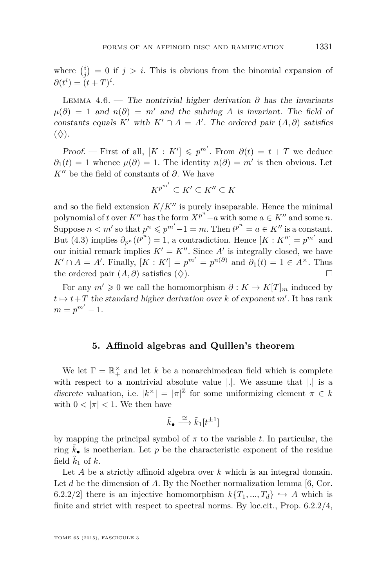<span id="page-31-0"></span>where  $\binom{i}{j} = 0$  if  $j > i$ . This is obvious from the binomial expansion of  $\partial(t^i) = (t+T)^i$ .

LEMMA 4.6. — The nontrivial higher derivation  $\partial$  has the invariants  $\mu(\partial) = 1$  and  $n(\partial) = m'$  and the subring *A* is invariant. The field of constants equals *K*<sup> $\prime$ </sup> with *K*<sup> $\prime$ </sup> ∩ *A* = *A*<sup> $\prime$ </sup>. The ordered pair  $(A, \partial)$  satisfies  $(\diamondsuit)$ .

*Proof.* — First of all,  $[K: K'] \leqslant p^{m'}$ . From  $\partial(t) = t + T$  we deduce  $\partial_1(t) = 1$  whence  $\mu(\partial) = 1$ . The identity  $n(\partial) = m'$  is then obvious. Let  $K''$  be the field of constants of  $\partial$ . We have

$$
K^{p^{m'}}\subseteq K'\subseteq K''\subseteq K
$$

and so the field extension  $K/K''$  is purely inseparable. Hence the minimal polynomial of *t* over  $K''$  has the form  $X^{p^n} - a$  with some  $a \in K''$  and some *n*. Suppose  $n < m'$  so that  $p^n \leq p^{m'} - 1 = m$ . Then  $t^{p^n} = a \in K''$  is a constant. But [\(4.3\)](#page-30-0) implies  $\partial_{p^n}(t^{p^n}) = 1$ , a contradiction. Hence  $[K: K''] = p^{m'}$  and our initial remark implies  $K' = K''$ . Since  $A'$  is integrally closed, we have  $K' \cap A = A'$ . Finally,  $[K: K'] = p^{m'} = p^{n(\partial)}$  and  $\partial_1(t) = 1 \in A^{\times}$ . Thus the ordered pair  $(A, \partial)$  satisfies  $(\diamondsuit)$ .

For any  $m' \geq 0$  we call the homomorphism  $\partial : K \to K[T]_m$  induced by  $t \mapsto t+T$  the standard higher derivation over *k* of exponent *m'*. It has rank  $m = p^{m'} - 1.$ 

#### **5. Affinoid algebras and Quillen's theorem**

We let  $\Gamma = \mathbb{R}_+^{\times}$  and let *k* be a nonarchimedean field which is complete with respect to a nontrivial absolute value |*.*|. We assume that |*.*| is a discrete valuation, i.e.  $|k^{\times}| = |\pi|^{\mathbb{Z}}$  for some uniformizing element  $\pi \in k$ with  $0 < |\pi| < 1$ . We then have

$$
\tilde{k}_{\bullet} \stackrel{\cong}{\longrightarrow} \tilde{k}_{1}[t^{\pm 1}]
$$

by mapping the principal symbol of *π* to the variable *t*. In particular, the ring  $k_{\bullet}$  is noetherian. Let p be the characteristic exponent of the residue field  $\tilde{k}_1$  of  $k$ .

Let *A* be a strictly affinoid algebra over *k* which is an integral domain. Let *d* be the dimension of *A*. By the Noether normalization lemma [\[6,](#page-46-0) Cor. 6.2.2/2] there is an injective homomorphism  $k\{T_1, ..., T_d\} \hookrightarrow A$  which is finite and strict with respect to spectral norms. By loc.cit., Prop. 6.2.2/4,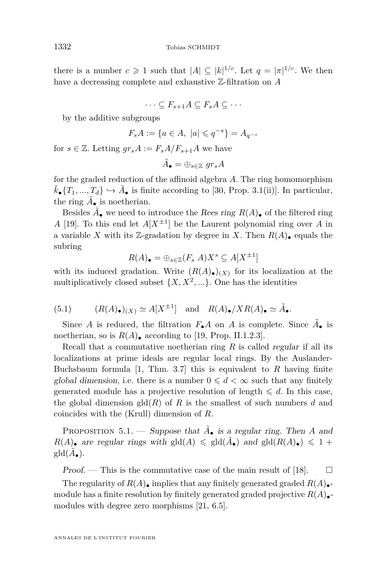<span id="page-32-0"></span>there is a number  $c \geq 1$  such that  $|A| \subseteq |k|^{1/c}$ . Let  $q = |\pi|^{1/c}$ . We then have a decreasing complete and exhaustive Z-filtration on *A*

$$
\cdots \subseteq F_{s+1}A \subseteq F_sA \subseteq \cdots
$$

by the additive subgroups

$$
F_s A := \{ a \in A, \ |a| \leqslant q^{-s} \} = A_{q^{-s}}
$$

for  $s \in \mathbb{Z}$ . Letting  $gr_s A := F_s A/F_{s+1}A$  we have

$$
\tilde{A}_\bullet = \oplus_{s \in \mathbb{Z}} \,\, gr_sA
$$

for the graded reduction of the affinoid algebra *A*. The ring homomorphism  $\tilde{k}_{\bullet}\{T_1, ..., T_d\} \hookrightarrow \tilde{A}_{\bullet}$  is finite according to [\[30,](#page-47-0) Prop. 3.1(ii)]. In particular, the ring  $\tilde{A}_{\bullet}$  is noetherian.

Besides  $\tilde{A}_\bullet$  we need to introduce the *Rees ring*  $R(A)_\bullet$  of the filtered ring *A* [\[19\]](#page-46-0). To this end let  $A[X^{\pm 1}]$  be the Laurent polynomial ring over *A* in a variable *X* with its *Z*-gradation by degree in *X*. Then  $R(A)$ , equals the subring

$$
R(A)_{\bullet} = \bigoplus_{s \in \mathbb{Z}} (F_s \ A) X^s \subseteq A[X^{\pm 1}]
$$

with its induced gradation. Write  $(R(A)_{\bullet})_{(X)}$  for its localization at the multiplicatively closed subset  $\{X, X^2, \ldots\}$ . One has the identities

(5.1) 
$$
(R(A)_\bullet)(x) \simeq A[X^{\pm 1}]
$$
 and  $R(A)_\bullet/XR(A)_\bullet \simeq \tilde{A}_\bullet.$ 

Since *A* is reduced, the filtration  $F_{\bullet}A$  on *A* is complete. Since  $\tilde{A}_{\bullet}$  is noetherian, so is  $R(A)$ , according to [\[19,](#page-46-0) Prop. II.1.2.3].

Recall that a commutative noetherian ring *R* is called regular if all its localizations at prime ideals are regular local rings. By the Auslander-Buchsbaum formula [\[1,](#page-45-0) Thm. 3.7] this is equivalent to *R* having finite global dimension, i.e. there is a number  $0 \leq d < \infty$  such that any finitely generated module has a projective resolution of length  $\leq d$ . In this case, the global dimension  $\text{gl}(R)$  of R is the smallest of such numbers d and coincides with the (Krull) dimension of *R*.

PROPOSITION 5.1. — Suppose that  $\tilde{A}_{\bullet}$  is a regular ring. Then *A* and  $R(A)$  are regular rings with gld $(A) \leq \text{gld}(\tilde{A})$  and gld $(R(A))$   $\leq 1 +$  $\text{gld}(\tilde{A}_{\bullet}).$ 

Proof. — This is the commutative case of the main result of [\[18\]](#page-46-0).  $\Box$ 

The regularity of  $R(A)$ , implies that any finitely generated graded  $R(A)$ . module has a finite resolution by finitely generated graded projective  $R(A)$ . modules with degree zero morphisms [\[21,](#page-46-0) 6.5].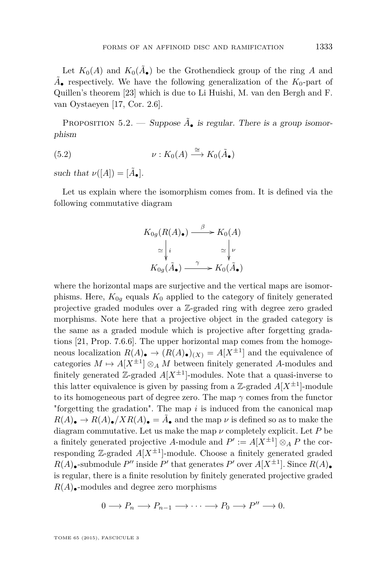Let  $K_0(A)$  and  $K_0(\tilde{A}_{\bullet})$  be the Grothendieck group of the ring A and  $\tilde{A}_{\bullet}$  respectively. We have the following generalization of the  $K_0$ -part of Quillen's theorem [\[23\]](#page-46-0) which is due to Li Huishi, M. van den Bergh and F. van Oystaeyen [\[17,](#page-46-0) Cor. 2.6].

PROPOSITION 5.2. — Suppose  $\tilde{A}_{\bullet}$  is regular. There is a group isomorphism

(5.2) 
$$
\nu: K_0(A) \stackrel{\cong}{\longrightarrow} K_0(\tilde{A}_{\bullet})
$$

such that  $\nu([A]) = [\tilde{A}_\bullet].$ 

Let us explain where the isomorphism comes from. It is defined via the following commutative diagram

$$
K_{0g}(R(A)_{\bullet}) \xrightarrow{\beta} K_0(A)
$$
  
\n
$$
\simeq \begin{vmatrix} i & \simeq \searrow \nu \\ K_{0g}(\tilde{A}_{\bullet}) & \xrightarrow{\gamma} K_0(\tilde{A}_{\bullet}) \end{vmatrix}
$$

where the horizontal maps are surjective and the vertical maps are isomorphisms. Here,  $K_{0q}$  equals  $K_0$  applied to the category of finitely generated projective graded modules over a Z-graded ring with degree zero graded morphisms. Note here that a projective object in the graded category is the same as a graded module which is projective after forgetting gradations [\[21,](#page-46-0) Prop. 7.6.6]. The upper horizontal map comes from the homogeneous localization  $R(A)$   $\rightarrow$   $(R(A)$ <sub> $\bullet$ </sub> $)(X) = A[X^{\pm 1}]$  and the equivalence of categories  $M \mapsto A[X^{\pm 1}] \otimes_A M$  between finitely generated *A*-modules and finitely generated  $\mathbb{Z}$ -graded  $A[X^{\pm 1}]$ -modules. Note that a quasi-inverse to this latter equivalence is given by passing from a  $\mathbb{Z}$ -graded  $A[X^{\pm 1}]$ -module to its homogeneous part of degree zero. The map *γ* comes from the functor "forgetting the gradation". The map *i* is induced from the canonical map  $R(A)$   $\rightarrow R(A)$   $\rightarrow$   $\overline{X}R(A)$   $\rightarrow$   $\overline{A}$  and the map  $\nu$  is defined so as to make the diagram commutative. Let us make the map  $\nu$  completely explicit. Let  $P$  be a finitely generated projective *A*-module and  $P' := A[X^{\pm 1}] \otimes_A P$  the corresponding  $\mathbb{Z}$ -graded  $A[X^{\pm 1}]$ -module. Choose a finitely generated graded  $R(A)$ •-submodule *P*<sup> $\prime$ </sup> inside *P*<sup> $\prime$ </sup> that generates *P*<sup> $\prime$ </sup> over  $A[X^{\pm 1}]$ . Since  $R(A)$ • is regular, there is a finite resolution by finitely generated projective graded  $R(A)$ –modules and degree zero morphisms

$$
0 \longrightarrow P_n \longrightarrow P_{n-1} \longrightarrow \cdots \longrightarrow P_0 \longrightarrow P'' \longrightarrow 0.
$$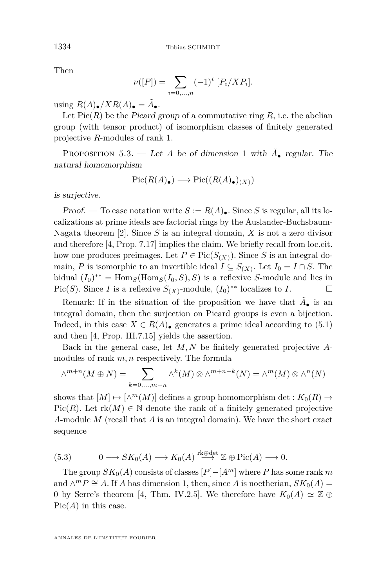Then

$$
\nu([P]) = \sum_{i=0,\dots,n} (-1)^i [P_i/XP_i].
$$

using  $R(A)_{\bullet}/XR(A)_{\bullet} = \tilde{A}_{\bullet}.$ 

Let  $Pic(R)$  be the Picard group of a commutative ring  $R$ , i.e. the abelian group (with tensor product) of isomorphism classes of finitely generated projective *R*-modules of rank 1.

PROPOSITION 5.3. — Let *A* be of dimension 1 with  $\tilde{A}_{\bullet}$  regular. The natural homomorphism

$$
\operatorname{Pic}(R(A)_\bullet) \longrightarrow \operatorname{Pic}((R(A)_\bullet)_{(X)})
$$

is surjective.

Proof. — To ease notation write  $S := R(A)$ . Since *S* is regular, all its localizations at prime ideals are factorial rings by the Auslander-Buchsbaum-Nagata theorem [\[2\]](#page-45-0). Since *S* is an integral domain, *X* is not a zero divisor and therefore [\[4,](#page-46-0) Prop. 7.17] implies the claim. We briefly recall from loc.cit. how one produces preimages. Let  $P \in Pic(S_{(X)})$ . Since *S* is an integral domain, *P* is isomorphic to an invertible ideal  $I \subseteq S_{(X)}$ . Let  $I_0 = I \cap S$ . The bidual  $(I_0)^{**} = \text{Hom}_S(\text{Hom}_S(I_0, S), S)$  is a reflexive *S*-module and lies in Pic(*S*). Since *I* is a reflexive  $S_{(X)}$ -module,  $(I_0)^{**}$  localizes to *I*.

Remark: If in the situation of the proposition we have that  $\tilde{A}_{\bullet}$  is an integral domain, then the surjection on Picard groups is even a bijection. Indeed, in this case  $X \in R(A)$ • generates a prime ideal according to [\(5.1\)](#page-32-0) and then [\[4,](#page-46-0) Prop. III.7.15] yields the assertion.

Back in the general case, let *M, N* be finitely generated projective *A*modules of rank *m, n* respectively. The formula

$$
\wedge^{m+n}(M \oplus N) = \sum_{k=0,\dots,m+n} \wedge^k(M) \otimes \wedge^{m+n-k}(N) = \wedge^m(M) \otimes \wedge^n(N)
$$

shows that  $[M] \mapsto [\wedge^m(M)]$  defines a group homomorphism det :  $K_0(R) \rightarrow$ Pic(*R*). Let  $rk(M) \in \mathbb{N}$  denote the rank of a finitely generated projective *A*-module *M* (recall that *A* is an integral domain). We have the short exact sequence

(5.3) 
$$
0 \longrightarrow SK_0(A) \longrightarrow K_0(A) \stackrel{\text{rk}\oplus \text{det}}{\longrightarrow} \mathbb{Z} \oplus Pic(A) \longrightarrow 0.
$$

The group  $SK_0(A)$  consists of classes  $[P]-[A^m]$  where *P* has some rank *m* and  $\wedge^m P \cong A$ . If *A* has dimension 1, then, since *A* is noetherian,  $SK_0(A)$  = 0 by Serre's theorem [\[4,](#page-46-0) Thm. IV.2.5]. We therefore have  $K_0(A) \simeq \mathbb{Z} \oplus$  $Pic(A)$  in this case.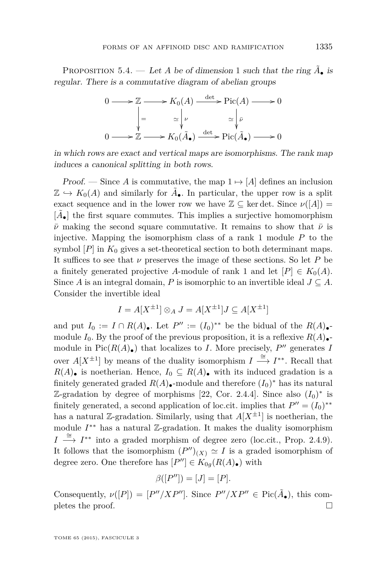<span id="page-35-0"></span>PROPOSITION 5.4. — Let *A* be of dimension 1 such that the ring  $\tilde{A}_\bullet$  is regular. There is a commutative diagram of abelian groups



in which rows are exact and vertical maps are isomorphisms. The rank map induces a canonical splitting in both rows.

Proof. — Since *A* is commutative, the map  $1 \mapsto [A]$  defines an inclusion  $\mathbb{Z} \hookrightarrow K_0(A)$  and similarly for  $\tilde{A}_{\bullet}$ . In particular, the upper row is a split exact sequence and in the lower row we have  $\mathbb{Z} \subseteq$  ker det. Since  $\nu([A]) =$  $[\tilde{A}_\bullet]$  the first square commutes. This implies a surjective homomorphism  $\bar{\nu}$  making the second square commutative. It remains to show that  $\bar{\nu}$  is injective. Mapping the isomorphism class of a rank 1 module *P* to the symbol  $[P]$  in  $K_0$  gives a set-theoretical section to both determinant maps. It suffices to see that  $\nu$  preserves the image of these sections. So let  $P$  be a finitely generated projective *A*-module of rank 1 and let  $[P] \in K_0(A)$ . Since *A* is an integral domain, *P* is isomorphic to an invertible ideal  $J \subseteq A$ . Consider the invertible ideal

$$
I = A[X^{\pm 1}] \otimes_A J = A[X^{\pm 1}]J \subseteq A[X^{\pm 1}]
$$

and put  $I_0 := I \cap R(A)$ . Let  $P'' := (I_0)^{**}$  be the bidual of the  $R(A)$ . module  $I_0$ . By the proof of the previous proposition, it is a reflexive  $R(A)_{\bullet}$ module in  $Pic(R(A_{\bullet})$  that localizes to *I*. More precisely,  $P''$  generates *I* over  $A[X^{\pm 1}]$  by means of the duality isomorphism  $I \stackrel{\cong}{\longrightarrow} I^{**}$ . Recall that  $R(A)$ • is noetherian. Hence,  $I_0 \subseteq R(A)$ • with its induced gradation is a finitely generated graded  $R(A)$ <sub>•</sub>-module and therefore  $(I_0)^*$  has its natural Z-gradation by degree of morphisms [\[22,](#page-46-0) Cor. 2.4.4]. Since also  $(I_0)^*$  is finitely generated, a second application of loc.cit. implies that  $P'' = (I_0)^{**}$ has a natural  $\mathbb{Z}$ -gradation. Similarly, using that  $A[X^{\pm 1}]$  is noetherian, the module  $I^{**}$  has a natural Z-gradation. It makes the duality isomorphism *I*  $\stackrel{\cong}{\longrightarrow}$  *I*<sup>\*\*</sup> into a graded morphism of degree zero (loc.cit., Prop. 2.4.9). It follows that the isomorphism  $(P'')_{(X)} \simeq I$  is a graded isomorphism of degree zero. One therefore has  $[P''] \in K_{0g}(R(A_{\bullet}))$  with

$$
\beta([P'']) = [J] = [P].
$$

Consequently,  $\nu([P]) = [P''/XP'']$ . Since  $P''/XP'' \in Pic(\tilde{A}_{\bullet})$ , this completes the proof.  $\Box$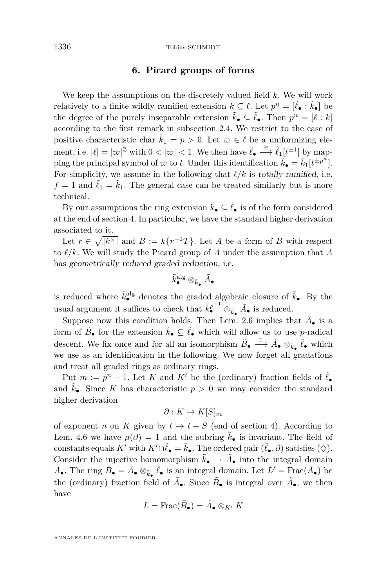#### **6. Picard groups of forms**

We keep the assumptions on the discretely valued field *k*. We will work relatively to a finite wildly ramified extension  $k \subseteq \ell$ . Let  $p^n = [\tilde{\ell}_\bullet : \tilde{k}_\bullet]$  be the degree of the purely inseparable extension  $\tilde{k}_\bullet \subseteq \tilde{\ell}_\bullet$ . Then  $p^n = [\ell : k]$ according to the first remark in subsection [2.4.](#page-6-0) We restrict to the case of positive characteristic char  $\tilde{k}_1 = p > 0$ . Let  $\varpi \in \ell$  be a uniformizing element, i.e.  $|\ell| = |\varpi|^{\mathbb{Z}}$  with  $0 < |\varpi| < 1$ . We then have  $\tilde{\ell}_{\bullet} \stackrel{\cong}{\longrightarrow} \tilde{\ell}_1[t^{\pm 1}]$  by mapping the principal symbol of  $\varpi$  to *t*. Under this identification  $\tilde{k}_{\bullet} = \tilde{k}_{1}[t^{\pm p^{n}}]$ . For simplicity, we assume in the following that  $\ell/k$  is totally ramified, i.e.  $f = 1$  and  $\ell_1 = \tilde{k}_1$ . The general case can be treated similarly but is more technical.

By our assumptions the ring extension  $\tilde{k}_\bullet \subseteq \tilde{\ell}_\bullet$  is of the form considered at the end of section [4.](#page-26-0) In particular, we have the standard higher derivation associated to it.

Let  $r \in \sqrt{\vert k^\times \vert}$  and  $B := k\{r^{-1}T\}$ . Let *A* be a form of *B* with respect to  $\ell/k$ . We will study the Picard group of *A* under the assumption that *A* has geometrically reduced graded reduction, i.e.

$$
\tilde{k}_\bullet^\text{alg} \otimes_{\tilde{k}_\bullet} \tilde{A}_\bullet
$$

is reduced where  $\tilde{k}^{\text{alg}}_{\bullet}$  denotes the graded algebraic closure of  $\tilde{k}_{\bullet}$ . By the usual argument it suffices to check that  $\tilde{k}_\bullet^{p^{-1}} \otimes_{\tilde{k}_\bullet} \tilde{A}_\bullet$  is reduced.

Suppose now this condition holds. Then Lem. [2.6](#page-11-0) implies that  $\tilde{A}_{\bullet}$  is a form of  $\tilde{B}_\bullet$  for the extension  $\tilde{k}_\bullet \subseteq \tilde{\ell}_\bullet$  which will allow us to use *p*-radical descent. We fix once and for all an isomorphism  $\tilde{B}_\bullet \stackrel{\cong}{\longrightarrow} \tilde{A}_\bullet \otimes_{\tilde{k}_\bullet} \tilde{\ell}_\bullet$  which we use as an identification in the following. We now forget all gradations and treat all graded rings as ordinary rings.

Put  $m := p^n - 1$ . Let K and K' be the (ordinary) fraction fields of  $\tilde{\ell}_{\bullet}$ and  $\tilde{k}_{\bullet}$ . Since K has characteristic  $p > 0$  we may consider the standard higher derivation

$$
\partial: K \to K[S]_m
$$

of exponent *n* on *K* given by  $t \to t + S$  (end of section [4\)](#page-26-0). According to Lem. [4.6](#page-31-0) we have  $\mu(\partial) = 1$  and the subring  $\tilde{k}_{\bullet}$  is invariant. The field of constants equals *K*<sup>*'*</sup> with  $K' \cap \tilde{\ell}_\bullet = \tilde{k}_\bullet$ . The ordered pair  $(\tilde{\ell}_\bullet, \partial)$  satisfies  $(\diamondsuit)$ . Consider the injective homomorphism  $\tilde{k}_{\bullet} \to \tilde{A}_{\bullet}$  into the integral domain  $\tilde{A}_\bullet$ . The ring  $\tilde{B}_\bullet = \tilde{A}_\bullet \otimes_{\tilde{k}_\bullet} \tilde{\ell}_\bullet$  is an integral domain. Let  $L' = \text{Frac}(\tilde{A}_\bullet)$  be the (ordinary) fraction field of  $\tilde{A}_{\bullet}$ . Since  $\tilde{B}_{\bullet}$  is integral over  $\tilde{A}_{\bullet}$ , we then have

$$
L=\operatorname{Frac}(\tilde{B}_\bullet)=\tilde{A}_\bullet\otimes_{K'}K
$$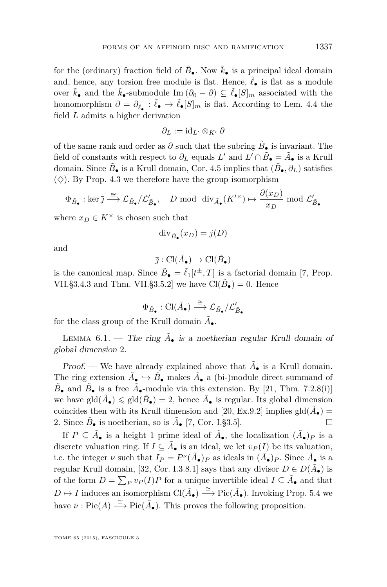for the (ordinary) fraction field of  $\tilde{B}_{\bullet}$ . Now  $\tilde{k}_{\bullet}$  is a principal ideal domain and, hence, any torsion free module is flat. Hence,  $\ell_{\bullet}$  is flat as a module over  $\tilde{k}_\bullet$  and the  $\tilde{k}_\bullet$ -submodule Im  $(\partial_0 - \partial) \subseteq \tilde{\ell}_\bullet[S]_m$  associated with the homomorphism  $\partial = \partial_{\tilde{\ell}_{\bullet}} : \tilde{\ell}_{\bullet} \to \tilde{\ell}_{\bullet}[S]_m$  is flat. According to Lem. [4.4](#page-29-0) the field *L* admits a higher derivation

$$
\partial_L := \mathrm{id}_{L'} \otimes_{K'} \partial
$$

of the same rank and order as  $\partial$  such that the subring  $\tilde{B}_\bullet$  is invariant. The field of constants with respect to  $\partial_L$  equals  $L'$  and  $L' \cap \tilde{B}_\bullet = \tilde{A}_\bullet$  is a Krull domain. Since  $\tilde{B}_\bullet$  is a Krull domain, Cor. [4.5](#page-30-0) implies that  $(\tilde{B}_\bullet, \partial_L)$  satisfies  $(\diamondsuit)$ . By Prop. [4.3](#page-29-0) we therefore have the group isomorphism

$$
\Phi_{\tilde{B}_{\bullet}} : \ker \bar{\jmath} \xrightarrow{\cong} \mathcal{L}_{\tilde{B}_{\bullet}} / \mathcal{L}'_{\tilde{B}_{\bullet}}, \quad D \text{ mod } \text{div}_{\tilde{A}_{\bullet}}(K'^{\times}) \mapsto \frac{\partial(x_D)}{x_D} \text{ mod } \mathcal{L}'_{\tilde{B}_{\bullet}}
$$

where  $x_D \in K^\times$  is chosen such that

$$
\operatorname{div}_{\tilde{B}_{\bullet}}(x_D) = j(D)
$$

and

$$
\bar{\jmath}:\text{Cl}(\tilde{A}_{\bullet})\to\text{Cl}(\tilde{B}_{\bullet})
$$

is the canonical map. Since  $\tilde{B}_{\bullet} = \tilde{\ell}_1[t^{\pm}, T]$  is a factorial domain [\[7,](#page-46-0) Prop. VII.§3.4.3 and Thm. VII.§3.5.2] we have  $\text{Cl}(\tilde{B}_{\bullet}) = 0$ . Hence

$$
\Phi_{\tilde{B}_\bullet} : \textup{Cl}(\tilde{A}_\bullet) \stackrel{\cong}{\longrightarrow} \mathcal{L}_{\tilde{B}_\bullet}/\mathcal{L}'_{\tilde{B}_\bullet}
$$

for the class group of the Krull domain  $\tilde{A}_{\bullet}$ .

LEMMA  $6.1.$  – The ring  $\tilde{A}_\bullet$  is a noetherian regular Krull domain of global dimension 2.

*Proof.* — We have already explained above that  $\tilde{A}_{\bullet}$  is a Krull domain. The ring extension  $\tilde{A}_{\bullet} \hookrightarrow \tilde{B}_{\bullet}$  makes  $\tilde{A}_{\bullet}$  a (bi-)module direct summand of  $\tilde{B}_{\bullet}$  and  $\tilde{B}_{\bullet}$  is a free  $\tilde{A}_{\bullet}$ -module via this extension. By [\[21,](#page-46-0) Thm. 7.2.8(i)] we have  $\text{gld}(\tilde{A}_{\bullet}) \leq \text{gld}(\tilde{B}_{\bullet}) = 2$ , hence  $\tilde{A}_{\bullet}$  is regular. Its global dimension coincides then with its Krull dimension and [\[20,](#page-46-0) Ex.9.2] implies  $\text{gld}(\tilde{A}_{\bullet}) =$ 2. Since  $\tilde{B}_\bullet$  is noetherian, so is  $\tilde{A}_\bullet$  [\[7,](#page-46-0) Cor. I. § 3.5].

If  $P \subseteq \tilde{A}_{\bullet}$  is a height 1 prime ideal of  $\tilde{A}_{\bullet}$ , the localization  $(\tilde{A}_{\bullet})_P$  is a discrete valuation ring. If  $I \subseteq \tilde{A}_{\bullet}$  is an ideal, we let  $v_P(I)$  be its valuation, i.e. the integer *ν* such that  $I_P = P^{\nu}(\tilde{A}_\bullet)P$  as ideals in  $(\tilde{A}_\bullet)P$ . Since  $\tilde{A}_\bullet$  is a regular Krull domain, [\[32,](#page-47-0) Cor. I.3.8.1] says that any divisor  $D \in D(\tilde{A}_{\bullet})$  is of the form  $D = \sum_{P} v_P(I)P$  for a unique invertible ideal  $I \subseteq \tilde{A}_{\bullet}$  and that  $D \mapsto I$  induces an isomorphism  $\text{Cl}(\tilde{A}_{\bullet}) \stackrel{\cong}{\longrightarrow} \text{Pic}(\tilde{A}_{\bullet})$ . Invoking Prop. [5.4](#page-35-0) we have  $\bar{\nu}$ : Pic(*A*)  $\xrightarrow{\cong}$  Pic( $\tilde{A}_{\bullet}$ ). This proves the following proposition.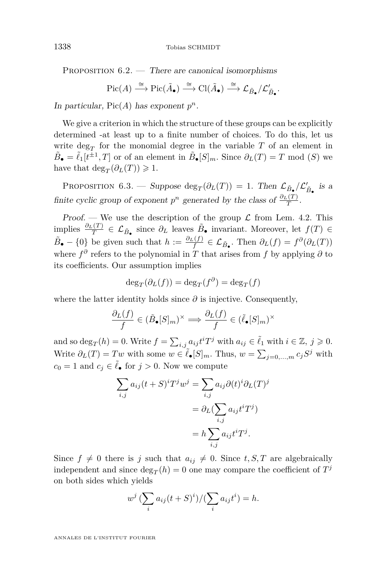PROPOSITION  $6.2.$  — There are canonical isomorphisms

$$
\operatorname{Pic}(A) \xrightarrow{\cong} \operatorname{Pic}(\tilde{A}_{\bullet}) \xrightarrow{\cong} \operatorname{Cl}(\tilde{A}_{\bullet}) \xrightarrow{\cong} \mathcal{L}_{\tilde{B}_{\bullet}}/\mathcal{L}'_{\tilde{B}_{\bullet}}.
$$

In particular,  $Pic(A)$  has exponent  $p^n$ .

We give a criterion in which the structure of these groups can be explicitly determined -at least up to a finite number of choices. To do this, let us write  $\deg_T$  for the monomial degree in the variable  $T$  of an element in  $\tilde{B}_{\bullet} = \tilde{\ell}_1[t^{\pm 1}, T]$  or of an element in  $\tilde{B}_{\bullet}[S]_m$ . Since  $\partial_L(T) = T \mod(S)$  we have that  $\deg_T(\partial_L(T)) \geq 1$ .

PROPOSITION 6.3. — Suppose  $\deg_T(\partial_L(T)) = 1$ . Then  $\mathcal{L}_{\tilde{B}_{\bullet}}/\mathcal{L}'_{\tilde{B}_{\bullet}}$  is a finite cyclic group of exponent  $p^n$  generated by the class of  $\frac{\partial_L(T)}{T}$ .

Proof. — We use the description of the group  $\mathcal L$  from Lem. [4.2.](#page-28-0) This implies  $\frac{\partial_L(T)}{T} \in \mathcal{L}_{\tilde{B}_\bullet}$  since  $\partial_L$  leaves  $\tilde{B}_\bullet$  invariant. Moreover, let *f*(*T*) ∈  $\tilde{B}_{\bullet} - \{0\}$  be given such that  $h := \frac{\partial_L(f)}{f} \in \mathcal{L}_{\tilde{B}_{\bullet}}$ . Then  $\partial_L(f) = f^{\partial}(\partial_L(T))$ where  $f^{\partial}$  refers to the polynomial in *T* that arises from *f* by applying  $\partial$  to its coefficients. Our assumption implies

$$
\deg_T(\partial_L(f)) = \deg_T(f^{\partial}) = \deg_T(f)
$$

where the latter identity holds since  $\partial$  is injective. Consequently,

$$
\frac{\partial_L(f)}{f} \in (\tilde{B}_{\bullet}[S]_m)^{\times} \Longrightarrow \frac{\partial_L(f)}{f} \in (\tilde{\ell}_{\bullet}[S]_m)^{\times}
$$

and so  $\deg_T(h) = 0$ . Write  $f = \sum_{i,j} a_{ij} t^i T^j$  with  $a_{ij} \in \tilde{\ell}_1$  with  $i \in \mathbb{Z}, j \geqslant 0$ . Write  $\partial_L(T) = Tw$  with some  $w \in \tilde{\ell}_\bullet[S]_m$ . Thus,  $w = \sum_{j=0,\dots,m} c_j S^j$  with  $c_0 = 1$  and  $c_j \in \tilde{\ell}_\bullet$  for  $j > 0$ . Now we compute

$$
\sum_{i,j} a_{ij}(t+S)^{i}T^{j}w^{j} = \sum_{i,j} a_{ij}\partial(t)^{i}\partial_{L}(T)^{j}
$$

$$
= \partial_{L}(\sum_{i,j} a_{ij}t^{i}T^{j})
$$

$$
= h\sum_{i,j} a_{ij}t^{i}T^{j}.
$$

Since  $f \neq 0$  there is *j* such that  $a_{ij} \neq 0$ . Since  $t, S, T$  are algebraically independent and since  $\deg_T(h) = 0$  one may compare the coefficient of  $T^j$ on both sides which yields

$$
w^j \left(\sum_i a_{ij}(t+S)^i\right) / \left(\sum_i a_{ij}t^i\right) = h.
$$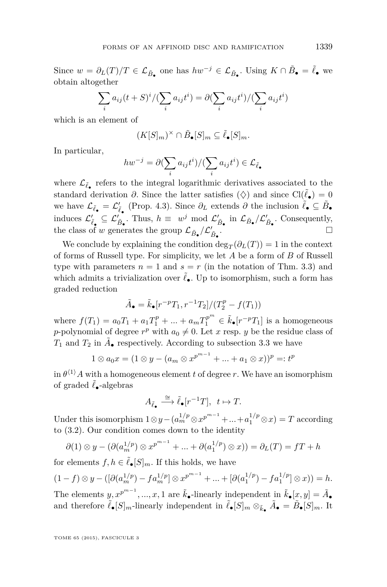Since  $w = \partial_L(T)/T \in \mathcal{L}_{\tilde{B}_\bullet}$  one has  $hw^{-j} \in \mathcal{L}_{\tilde{B}_\bullet}$ . Using  $K \cap \tilde{B}_\bullet = \tilde{\ell}_\bullet$  we obtain altogether

$$
\sum_{i} a_{ij}(t+S)^i / (\sum_i a_{ij}t^i) = \partial (\sum_i a_{ij}t^i) / (\sum_i a_{ij}t^i)
$$

which is an element of

$$
(K[S]_m)^\times \cap \tilde{B}_{\bullet}[S]_m \subseteq \tilde{\ell}_{\bullet}[S]_m.
$$

In particular,

$$
hw^{-j} = \partial (\sum_i a_{ij} t^i) / (\sum_i a_{ij} t^i) \in \mathcal{L}_{\tilde{\ell}_{\bullet}}
$$

where  $\mathcal{L}_{\tilde{\ell}_{\bullet}}$  refers to the integral logarithmic derivatives associated to the standard derivation  $\partial$ . Since the latter satisfies ( $\diamondsuit$ ) and since Cl( $\tilde{\ell}_\bullet$ ) = 0 we have  $\mathcal{L}_{\tilde{\ell}_{\bullet}} = \mathcal{L}'_{\tilde{\ell}_{\bullet}}$  (Prop. [4.3\)](#page-29-0). Since  $\partial_L$  extends  $\partial$  the inclusion  $\tilde{\ell}_{\bullet} \subseteq \tilde{B}_{\bullet}$ induces  $\mathcal{L}'_{\tilde{\ell}_{\bullet}} \subseteq \mathcal{L}'_{\tilde{B}_{\bullet}}$ . Thus,  $h \equiv w^j \mod \mathcal{L}'_{\tilde{B}_{\bullet}}$  in  $\mathcal{L}_{\tilde{B}_{\bullet}}/\mathcal{L}'_{\tilde{B}_{\bullet}}$ . Consequently, the class of *w* generates the group  $\mathcal{L}_{\tilde{B}_{\bullet}}/\mathcal{L}'_{\tilde{B}_{\bullet}}$ .

We conclude by explaining the condition  $\deg_T(\partial_L(T)) = 1$  in the context of forms of Russell type. For simplicity, we let *A* be a form of *B* of Russell type with parameters  $n = 1$  and  $s = r$  (in the notation of Thm. [3.3\)](#page-23-0) and which admits a trivialization over  $\tilde{\ell}_{\bullet}$ . Up to isomorphism, such a form has graded reduction

$$
\tilde{A}_{\bullet} = \tilde{k}_{\bullet}[r^{-p}T_1, r^{-1}T_2]/(T_2^p - f(T_1))
$$

where  $f(T_1) = a_0 T_1 + a_1 T_1^p + ... + a_m T_1^{p^m} \in \tilde{k}_{\bullet}[r^{-p}T_1]$  is a homogeneous *p*-polynomial of degree  $r^p$  with  $a_0 \neq 0$ . Let *x* resp. *y* be the residue class of  $T_1$  and  $T_2$  in  $\tilde{A}_{\bullet}$  respectively. According to subsection [3.3](#page-18-0) we have

$$
1 \otimes a_0 x = (1 \otimes y - (a_m \otimes x^{p^{m-1}} + ... + a_1 \otimes x))^p =: t^p
$$

in  $\theta^{(1)}A$  with a homogeneous element *t* of degree *r*. We have an isomorphism of graded  $\tilde{\ell}_\bullet$ -algebras

$$
A_{\tilde{\ell}_{\bullet}} \stackrel{\cong}{\longrightarrow} \tilde{\ell}_{\bullet}[r^{-1}T], \ t \mapsto T.
$$

Under this isomorphism  $1 \otimes y - (a_m^{1/p} \otimes x^{p^{m-1}} + ... + a_1^{1/p} \otimes x) = T$  according to [\(3.2\)](#page-18-0). Our condition comes down to the identity

$$
\partial(1) \otimes y - (\partial(a_n^{1/p}) \otimes x^{p^{m-1}} + \dots + \partial(a_1^{1/p}) \otimes x)) = \partial_L(T) = fT + h
$$

for elements  $f, h \in \tilde{\ell}_{\bullet}[S]_m$ . If this holds, we have

$$
(1-f) \otimes y - ([\partial (a_m^{1/p}) - fa_m^{1/p}] \otimes x^{p^{m-1}} + ... + [\partial (a_1^{1/p}) - fa_1^{1/p}] \otimes x)) = h.
$$
The elements  $y, x^{p^{m-1}}, ..., x, 1$  are  $\tilde{k}_{\bullet}$ -linearly independent in  $\tilde{k}_{\bullet}[x, y] = \tilde{A}_{\bullet}$  and therefore  $\tilde{\ell}_{\bullet}[S]_m$ -linearly independent in  $\tilde{\ell}_{\bullet}[S]_m \otimes_{\tilde{k}_{\bullet}} \tilde{A}_{\bullet} = \tilde{B}_{\bullet}[S]_m$ . It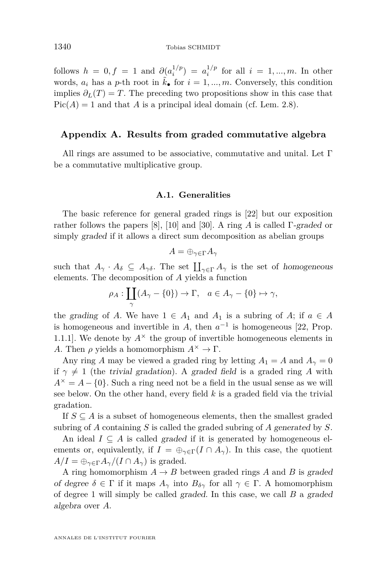follows  $h = 0, f = 1$  and  $\partial_a a_i^{1/p} = a_i^{1/p}$  for all  $i = 1, ..., m$ . In other words,  $a_i$  has a *p*-th root in  $\tilde{k}_\bullet$  for  $i = 1, ..., m$ . Conversely, this condition implies  $\partial_L(T) = T$ . The preceding two propositions show in this case that  $Pic(A) = 1$  and that *A* is a principal ideal domain (cf. Lem. [2.8\)](#page-12-0).

#### **Appendix A. Results from graded commutative algebra**

All rings are assumed to be associative, commutative and unital. Let  $\Gamma$ be a commutative multiplicative group.

#### **A.1. Generalities**

The basic reference for general graded rings is [\[22\]](#page-46-0) but our exposition rather follows the papers [\[8\]](#page-46-0), [\[10\]](#page-46-0) and [\[30\]](#page-47-0). A ring *A* is called Γ-graded or simply graded if it allows a direct sum decomposition as abelian groups

$$
A=\oplus_{\gamma\in\Gamma}A_{\gamma}
$$

such that  $A_{\gamma} \cdot A_{\delta} \subseteq A_{\gamma \delta}$ . The set  $\prod_{\gamma \in \Gamma} A_{\gamma}$  is the set of homogeneous elements. The decomposition of *A* yields a function

$$
\rho_A: \coprod_{\gamma} (A_{\gamma} - \{0\}) \to \Gamma, \quad a \in A_{\gamma} - \{0\} \mapsto \gamma,
$$

the grading of *A*. We have  $1 \in A_1$  and  $A_1$  is a subring of *A*; if  $a \in A$ is homogeneous and invertible in *A*, then  $a^{-1}$  is homogeneous [\[22,](#page-46-0) Prop. 1.1.1.1. We denote by  $A^{\times}$  the group of invertible homogeneous elements in *A*. Then  $\rho$  yields a homomorphism  $A^{\times} \to \Gamma$ .

Any ring *A* may be viewed a graded ring by letting  $A_1 = A$  and  $A_\gamma = 0$ if  $\gamma \neq 1$  (the trivial gradation). A graded field is a graded ring A with  $A^{\times} = A - \{0\}$ . Such a ring need not be a field in the usual sense as we will see below. On the other hand, every field *k* is a graded field via the trivial gradation.

If  $S \subseteq A$  is a subset of homogeneous elements, then the smallest graded subring of *A* containing *S* is called the graded subring of *A* generated by *S*.

An ideal  $I \subseteq A$  is called graded if it is generated by homogeneous elements or, equivalently, if  $I = \bigoplus_{\gamma \in \Gamma} (I \cap A_{\gamma})$ . In this case, the quotient  $A/I = \bigoplus_{\gamma \in \Gamma} A_{\gamma}/(I \cap A_{\gamma})$  is graded.

A ring homomorphism  $A \rightarrow B$  between graded rings A and B is graded of degree  $\delta \in \Gamma$  if it maps  $A_{\gamma}$  into  $B_{\delta\gamma}$  for all  $\gamma \in \Gamma$ . A homomorphism of degree 1 will simply be called graded. In this case, we call *B* a graded algebra over *A*.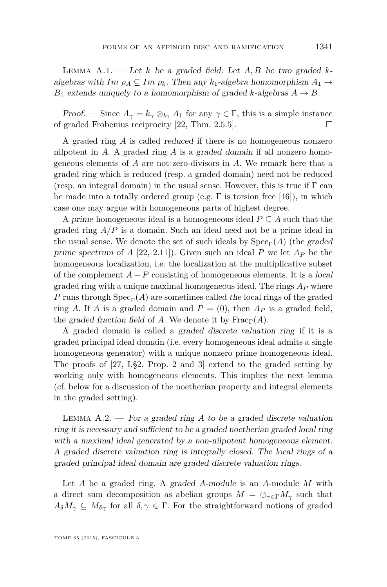<span id="page-41-0"></span>Lemma A.1. — Let *k* be a graded field. Let *A, B* be two graded *k*algebras with  $Im \rho_A \subseteq Im \rho_k$ . Then any  $k_1$ -algebra homomorphism  $A_1 \rightarrow$ *B*<sub>1</sub> extends uniquely to a homomorphism of graded *k*-algebras  $A \rightarrow B$ .

Proof. — Since  $A_{\gamma} = k_{\gamma} \otimes_{k_1} A_1$  for any  $\gamma \in \Gamma$ , this is a simple instance of graded Frobenius reciprocity [\[22,](#page-46-0) Thm. 2.5.5].  $\square$ 

A graded ring *A* is called reduced if there is no homogeneous nonzero nilpotent in *A*. A graded ring *A* is a graded domain if all nonzero homogeneous elements of *A* are not zero-divisors in *A*. We remark here that a graded ring which is reduced (resp. a graded domain) need not be reduced (resp. an integral domain) in the usual sense. However, this is true if  $\Gamma$  can be made into a totally ordered group (e.g.  $\Gamma$  is torsion free [\[16\]](#page-46-0)), in which case one may argue with homogeneous parts of highest degree.

A prime homogeneous ideal is a homogeneous ideal  $P \subseteq A$  such that the graded ring *A/P* is a domain. Such an ideal need not be a prime ideal in the usual sense. We denote the set of such ideals by  $Spec_{\Gamma}(A)$  (the graded prime spectrum of  $A$  [\[22,](#page-46-0) 2.11]). Given such an ideal  $P$  we let  $A_P$  be the homogeneous localization, i.e. the localization at the multiplicative subset of the complement  $A - P$  consisting of homogeneous elements. It is a local graded ring with a unique maximal homogeneous ideal. The rings *A<sup>P</sup>* where *P* runs through  $Spec_{\Gamma}(A)$  are sometimes called the local rings of the graded ring *A*. If *A* is a graded domain and  $P = (0)$ , then  $A_P$  is a graded field, the graded fraction field of *A*. We denote it by  $\text{Frac}_{\Gamma}(A)$ .

A graded domain is called a graded discrete valuation ring if it is a graded principal ideal domain (i.e. every homogeneous ideal admits a single homogeneous generator) with a unique nonzero prime homogeneous ideal. The proofs of [\[27,](#page-47-0) I.§2. Prop. 2 and 3] extend to the graded setting by working only with homogeneous elements. This implies the next lemma (cf. below for a discussion of the noetherian property and integral elements in the graded setting).

LEMMA  $A.2.$  – For a graded ring  $A$  to be a graded discrete valuation ring it is necessary and sufficient to be a graded noetherian graded local ring with a maximal ideal generated by a non-nilpotent homogeneous element. A graded discrete valuation ring is integrally closed. The local rings of a graded principal ideal domain are graded discrete valuation rings.

Let *A* be a graded ring. A graded *A*-module is an *A*-module *M* with a direct sum decomposition as abelian groups  $M = \bigoplus_{\gamma \in \Gamma} M_{\gamma}$  such that  $A_{\delta}M_{\gamma} \subseteq M_{\delta\gamma}$  for all  $\delta, \gamma \in \Gamma$ . For the straightforward notions of graded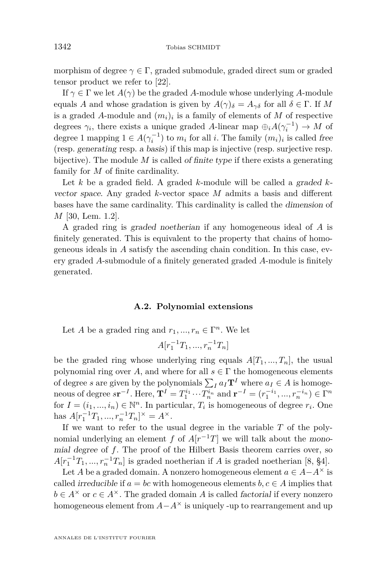morphism of degree  $\gamma \in \Gamma$ , graded submodule, graded direct sum or graded tensor product we refer to [\[22\]](#page-46-0).

If  $\gamma \in \Gamma$  we let  $A(\gamma)$  be the graded A-module whose underlying A-module equals *A* and whose gradation is given by  $A(\gamma)_{\delta} = A_{\gamma\delta}$  for all  $\delta \in \Gamma$ . If M is a graded *A*-module and (*mi*)*<sup>i</sup>* is a family of elements of *M* of respective degrees  $\gamma_i$ , there exists a unique graded *A*-linear map  $\bigoplus_i A(\gamma_i^{-1}) \to M$  of degree 1 mapping  $1 \in A(\gamma_i^{-1})$  to  $m_i$  for all *i*. The family  $(m_i)_i$  is called free (resp. generating resp. a basis) if this map is injective (resp. surjective resp. bijective). The module *M* is called of finite type if there exists a generating family for *M* of finite cardinality.

Let *k* be a graded field. A graded *k*-module will be called a graded *k*vector space. Any graded *k*-vector space *M* admits a basis and different bases have the same cardinality. This cardinality is called the dimension of *M* [\[30,](#page-47-0) Lem. 1.2].

A graded ring is graded noetherian if any homogeneous ideal of *A* is finitely generated. This is equivalent to the property that chains of homogeneous ideals in *A* satisfy the ascending chain condition. In this case, every graded *A*-submodule of a finitely generated graded *A*-module is finitely generated.

#### **A.2. Polynomial extensions**

Let *A* be a graded ring and  $r_1, ..., r_n \in \Gamma^n$ . We let

$$
A[r_1^{-1}T_1, ..., r_n^{-1}T_n]
$$

be the graded ring whose underlying ring equals  $A[T_1, ..., T_n]$ , the usual polynomial ring over *A*, and where for all  $s \in \Gamma$  the homogeneous elements of degree *s* are given by the polynomials  $\sum_{I} a_I \mathbf{T}^I$  where  $a_I \in A$  is homogeneous of degree  $s\mathbf{r}^{-I}$ . Here,  $\mathbf{T}^{I} = T_1^{i_1} \cdots T_n^{i_n}$  and  $\mathbf{r}^{-I} = (r_1^{-i_1}, ..., r_n^{-i_n}) \in \Gamma^n$ for  $I = (i_1, ..., i_n) \in \mathbb{N}^n$ . In particular,  $T_i$  is homogeneous of degree  $r_i$ . One has  $A[r_1^{-1}T_1, ..., r_n^{-1}T_n]^\times = A^\times$ .

If we want to refer to the usual degree in the variable *T* of the polynomial underlying an element *f* of  $A[r^{-1}T]$  we will talk about the monomial degree of *f*. The proof of the Hilbert Basis theorem carries over, so  $A[r_1^{-1}T_1, ..., r_n^{-1}T_n]$  is graded noetherian if *A* is graded noetherian [\[8,](#page-46-0) §4].

Let *A* be a graded domain. A nonzero homogeneous element  $a \in A - A^{\times}$  is called *irreducible* if  $a = bc$  with homogeneous elements  $b, c \in A$  implies that  $b \in A^{\times}$  or  $c \in A^{\times}$ . The graded domain *A* is called *factorial* if every nonzero homogeneous element from  $A - A^{\times}$  is uniquely -up to rearrangement and up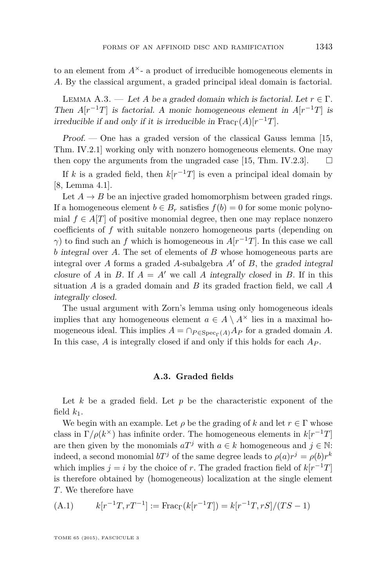<span id="page-43-0"></span>to an element from  $A^{\times}$ - a product of irreducible homogeneous elements in *A*. By the classical argument, a graded principal ideal domain is factorial.

LEMMA A.3. — Let *A* be a graded domain which is factorial. Let  $r \in \Gamma$ . Then  $A[r^{-1}T]$  is factorial. A monic homogeneous element in  $A[r^{-1}T]$  is irreducible if and only if it is irreducible in  $\text{Frac}_{\Gamma}(A)[r^{-1}T]$ .

 $Proof.$  — One has a graded version of the classical Gauss lemma [\[15,](#page-46-0) Thm. IV.2.1] working only with nonzero homogeneous elements. One may then copy the arguments from the ungraded case [\[15,](#page-46-0) Thm. IV.2.3].  $\Box$ 

If *k* is a graded field, then  $k[r^{-1}T]$  is even a principal ideal domain by [\[8,](#page-46-0) Lemma 4.1].

Let  $A \rightarrow B$  be an injective graded homomorphism between graded rings. If a homogeneous element  $b \in B_r$  satisfies  $f(b) = 0$  for some monic polynomial  $f \in A[T]$  of positive monomial degree, then one may replace nonzero coefficients of *f* with suitable nonzero homogeneous parts (depending on *γ*) to find such an *f* which is homogeneous in  $A[r^{-1}T]$ . In this case we call *b* integral over *A*. The set of elements of *B* whose homogeneous parts are integral over *A* forms a graded *A*-subalgebra  $A'$  of  $B$ , the graded integral closure of *A* in *B*. If  $A = A'$  we call *A* integrally closed in *B*. If in this situation *A* is a graded domain and *B* its graded fraction field, we call *A* integrally closed.

The usual argument with Zorn's lemma using only homogeneous ideals implies that any homogeneous element  $a \in A \setminus A^{\times}$  lies in a maximal homogeneous ideal. This implies  $A = \bigcap_{P \in \text{Spec}_{\Gamma}(A)} A_P$  for a graded domain A. In this case, *A* is integrally closed if and only if this holds for each *A<sup>P</sup>* .

#### **A.3. Graded fields**

Let *k* be a graded field. Let *p* be the characteristic exponent of the field  $k_1$ .

We begin with an example. Let  $\rho$  be the grading of  $k$  and let  $r \in \Gamma$  whose class in  $\Gamma/\rho(k^{\times})$  has infinite order. The homogeneous elements in  $k[r^{-1}T]$ are then given by the monomials  $aT^j$  with  $a \in k$  homogeneous and  $j \in \mathbb{N}$ : indeed, a second monomial  $bT^j$  of the same degree leads to  $\rho(a)r^j = \rho(b)r^k$ which implies  $j = i$  by the choice of *r*. The graded fraction field of  $k[r^{-1}T]$ is therefore obtained by (homogeneous) localization at the single element *T*. We therefore have

(A.1) 
$$
k[r^{-1}T, rT^{-1}] := \text{Frac}_{\Gamma}(k[r^{-1}T]) = k[r^{-1}T, rS]/(TS - 1)
$$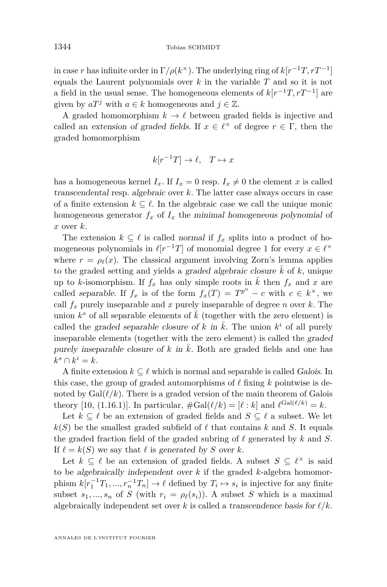in case *r* has infinite order in  $\Gamma/\rho(k^{\times})$ . The underlying ring of  $k[r^{-1}T, rT^{-1}]$ equals the Laurent polynomials over *k* in the variable *T* and so it is not a field in the usual sense. The homogeneous elements of  $k[r^{-1}T, rT^{-1}]$  are given by  $aT^j$  with  $a \in k$  homogeneous and  $j \in \mathbb{Z}$ .

A graded homomorphism  $k \to \ell$  between graded fields is injective and called an extension of graded fields. If  $x \in \ell^{\times}$  of degree  $r \in \Gamma$ , then the graded homomorphism

$$
k[r^{-1}T] \to \ell, \quad T \mapsto x
$$

has a homogeneous kernel  $I_x$ . If  $I_x = 0$  resp.  $I_x \neq 0$  the element x is called transcendental resp. algebraic over *k*. The latter case always occurs in case of a finite extension  $k \subseteq \ell$ . In the algebraic case we call the unique monic homogeneous generator  $f_x$  of  $I_x$  the minimal homogeneous polynomial of *x* over *k*.

The extension  $k \subseteq \ell$  is called normal if  $f_x$  splits into a product of homogeneous polynomials in  $\ell[r^{-1}T]$  of monomial degree 1 for every  $x \in \ell^{\times}$ where  $r = \rho_\ell(x)$ . The classical argument involving Zorn's lemma applies to the graded setting and yields a graded algebraic closure  $\bar{k}$  of  $k$ , unique up to *k*-isomorphism. If  $f_x$  has only simple roots in  $\overline{k}$  then  $f_x$  and  $x$  are called separable. If  $f_x$  is of the form  $f_x(T) = T^{p^n} - c$  with  $c \in k^{\times}$ , we call  $f_x$  purely inseparable and  $x$  purely inseparable of degree  $n$  over  $k$ . The union  $k^s$  of all separable elements of  $\overline{k}$  (together with the zero element) is called the graded separable closure of *k* in  $\overline{k}$ . The union  $k^i$  of all purely inseparable elements (together with the zero element) is called the graded purely inseparable closure of  $k$  in  $\overline{k}$ . Both are graded fields and one has  $k^s \cap k^i = k.$ 

A finite extension  $k \subseteq \ell$  which is normal and separable is called Galois. In this case, the group of graded automorphisms of  $\ell$  fixing  $k$  pointwise is denoted by  $Gal(\ell/k)$ . There is a graded version of the main theorem of Galois theory [\[10,](#page-46-0) (1.16.1)]. In particular,  $\#\text{Gal}(\ell/k) = [\ell : k]$  and  $\ell^{\text{Gal}(\ell/k)} = k$ .

Let  $k \subset \ell$  be an extension of graded fields and  $S \subset \ell$  a subset. We let  $k(S)$  be the smallest graded subfield of  $\ell$  that contains  $k$  and  $S$ . It equals the graded fraction field of the graded subring of  $\ell$  generated by  $k$  and  $S$ . If  $\ell = k(S)$  we say that  $\ell$  is generated by *S* over *k*.

Let  $k \subseteq \ell$  be an extension of graded fields. A subset  $S \subseteq \ell^\times$  is said to be algebraically independent over *k* if the graded *k*-algebra homomorphism  $k[r_1^{-1}T_1, ..., r_n^{-1}T_n] \to \ell$  defined by  $T_i \mapsto s_i$  is injective for any finite subset  $s_1, ..., s_n$  of *S* (with  $r_i = \rho_\ell(s_i)$ ). A subset *S* which is a maximal algebraically independent set over  $k$  is called a transcendence basis for  $\ell/k$ .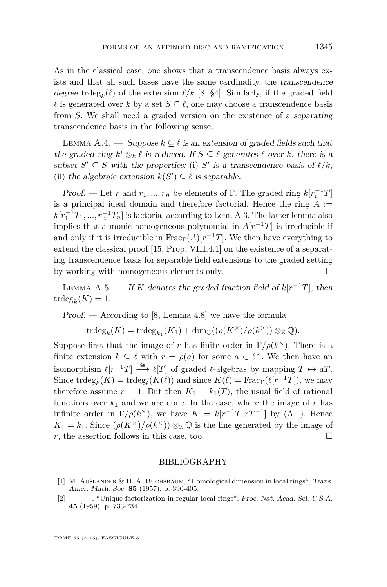<span id="page-45-0"></span>As in the classical case, one shows that a transcendence basis always exists and that all such bases have the same cardinality, the transcendence degree tr $\deg_k(\ell)$  of the extension  $\ell/k$  [\[8,](#page-46-0) §4]. Similarly, if the graded field  $\ell$  is generated over *k* by a set  $S \subseteq \ell$ , one may choose a transcendence basis from *S*. We shall need a graded version on the existence of a separating transcendence basis in the following sense.

LEMMA A.4. — Suppose  $k \subseteq \ell$  is an extension of graded fields such that the graded ring  $k^i \otimes_k \ell$  is reduced. If  $S \subseteq \ell$  generates  $\ell$  over  $k$ , there is a subset  $S' \subseteq S$  with the properties: (i)  $S'$  is a transcendence basis of  $\ell/k$ , (ii) the algebraic extension  $k(S') \subseteq \ell$  is separable.

Proof. — Let *r* and  $r_1, ..., r_n$  be elements of Γ. The graded ring  $k[r_i^{-1}T]$ is a principal ideal domain and therefore factorial. Hence the ring  $A :=$  $k[r_1^{-1}T_1, ..., r_n^{-1}T_n]$  is factorial according to Lem. [A.3.](#page-43-0) The latter lemma also implies that a monic homogeneous polynomial in  $A[r^{-1}T]$  is irreducible if and only if it is irreducible in  $\text{Frac}_{\Gamma}(A)[r^{-1}T]$ . We then have everything to extend the classical proof [\[15,](#page-46-0) Prop. VIII.4.1] on the existence of a separating transcendence basis for separable field extensions to the graded setting by working with homogeneous elements only.

LEMMA A.5. — If *K* denotes the graded fraction field of  $k[r^{-1}T]$ , then  $\operatorname{trdeg}_k(K) = 1.$ 

Proof. — According to [\[8,](#page-46-0) Lemma 4.8] we have the formula

 $\operatorname{trdeg}_k(K) = \operatorname{trdeg}_{k_1}(K_1) + \dim_{\mathbb{Q}}((\rho(K^{\times})/\rho(k^{\times}))\otimes_{\mathbb{Z}}\mathbb{Q}).$ 

Suppose first that the image of *r* has finite order in  $\Gamma/\rho(k^{\times})$ . There is a finite extension  $k \subseteq \ell$  with  $r = \rho(a)$  for some  $a \in \ell^{\times}$ . We then have an isomorphism  $\ell[r^{-1}T] \stackrel{\cong}{\longrightarrow} \ell[T]$  of graded  $\ell$ -algebras by mapping  $T \mapsto aT$ . Since  $\text{trdeg}_k(K) = \text{trdeg}_\ell(K(\ell))$  and since  $K(\ell) = \text{Frac}_{\Gamma}(\ell[r^{-1}T])$ , we may therefore assume  $r = 1$ . But then  $K_1 = k_1(T)$ , the usual field of rational functions over  $k_1$  and we are done. In the case, where the image of  $r$  has infinite order in  $\Gamma/\rho(k^{\times})$ , we have  $K = k[r^{-1}T, rT^{-1}]$  by [\(A.1\)](#page-43-0). Hence  $K_1 = k_1$ . Since  $(\rho(K^{\times})/\rho(k^{\times})) \otimes_{\mathbb{Z}} \mathbb{Q}$  is the line generated by the image of  $r$ , the assertion follows in this case, too.

#### BIBLIOGRAPHY

- [1] M. Auslander & D. A. Buchsbaum, "Homological dimension in local rings", Trans. Amer. Math. Soc. **85** (1957), p. 390-405.
- [2] ——— , "Unique factorization in regular local rings", Proc. Nat. Acad. Sci. U.S.A. **45** (1959), p. 733-734.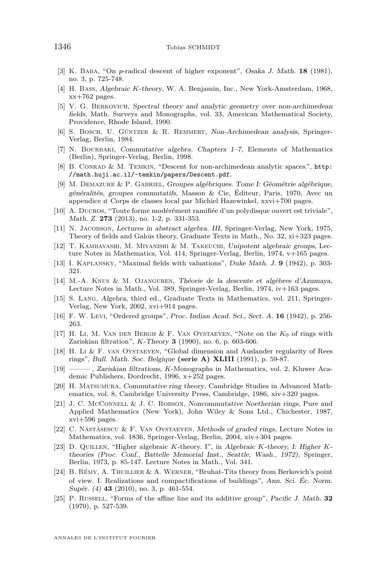- <span id="page-46-0"></span>[3] K. Baba, "On *p*-radical descent of higher exponent", Osaka J. Math. **18** (1981), no. 3, p. 725-748.
- [4] H. Bass, Algebraic *K*-theory, W. A. Benjamin, Inc., New York-Amsterdam, 1968, xx+762 pages.
- [5] V. G. Berkovich, Spectral theory and analytic geometry over non-archimedean fields, Math. Surveys and Monographs, vol. 33, American Mathematical Society, Providence, Rhode Island, 1990.
- [6] S. Bosch, U. Güntzer & R. Remmert, Non-Archimedean analysis, Springer-Verlag, Berlin, 1984.
- [7] N. Bourbaki, Commutative algebra. Chapters 1–7, Elements of Mathematics (Berlin), Springer-Verlag, Berlin, 1998.
- [8] B. Conrad & M. Temkin, "Descent for non-archimedean analytic spaces.", [http:](http://math.huji.ac.il/~temkin/papers/Descent.pdf) [//math.huji.ac.il/~temkin/papers/Descent.pdf](http://math.huji.ac.il/~temkin/papers/Descent.pdf).
- [9] M. Demazure & P. Gabriel, Groupes algébriques. Tome I: Géométrie algébrique, généralités, groupes commutatifs, Masson & Cie, Éditeur, Paris, 1970, Avec un appendice ıt Corps de classes local par Michiel Hazewinkel, xxvi+700 pages.
- [10] A. Ducros, "Toute forme modérément ramifiée d'un polydisque ouvert est triviale", Math. Z. **273** (2013), no. 1-2, p. 331-353.
- [11] N. Jacobson, Lectures in abstract algebra. III, Springer-Verlag, New York, 1975, Theory of fields and Galois theory, Graduate Texts in Math., No. 32, xi+323 pages.
- [12] T. Kambayashi, M. Miyanishi & M. Takeuchi, Unipotent algebraic groups, Lecture Notes in Mathematics, Vol. 414, Springer-Verlag, Berlin, 1974, v+165 pages.
- [13] I. Kaplansky, "Maximal fields with valuations", Duke Math. J. **9** (1942), p. 303- 321.
- [14] M.-A. Knus & M. Ojanguren, Théorie de la descente et algèbres d'Azumaya, Lecture Notes in Math., Vol. 389, Springer-Verlag, Berlin, 1974, iv+163 pages.
- [15] S. Lang, Algebra, third ed., Graduate Texts in Mathematics, vol. 211, Springer-Verlag, New York, 2002, xvi+914 pages.
- [16] F. W. Levi, "Ordered groups", Proc. Indian Acad. Sci., Sect. A. **16** (1942), p. 256- 263.
- [17] H. Li, M. Van den Bergh & F. Van Oystaeyen, "Note on the *K*<sup>0</sup> of rings with Zariskian filtration", *K*-Theory **3** (1990), no. 6, p. 603-606.
- [18] H. Li & F. van Oystaeyen, "Global dimension and Auslander regularity of Rees rings", Bull. Math. Soc. Belgique **(serie A) XLIII** (1991), p. 59-87.
- [19] ——— , Zariskian filtrations, *K*-Monographs in Mathematics, vol. 2, Kluwer Academic Publishers, Dordrecht, 1996, x+252 pages.
- [20] H. Matsumura, Commutative ring theory, Cambridge Studies in Advanced Mathematics, vol. 8, Cambridge University Press, Cambridge, 1986, xiv+320 pages.
- [21] J. C. McConnell & J. C. Robson, Noncommutative Noetherian rings, Pure and Applied Mathematics (New York), John Wiley & Sons Ltd., Chichester, 1987, xvi+596 pages.
- [22] C. Năstăsescu & F. Van Oystaeyen, Methods of graded rings, Lecture Notes in Mathematics, vol. 1836, Springer-Verlag, Berlin, 2004, xiv+304 pages.
- [23] D. Quillen, "Higher algebraic *K*-theory. I", in Algebraic *K*-theory, I: Higher *K*theories (Proc. Conf., Battelle Memorial Inst., Seattle, Wash., 1972), Springer, Berlin, 1973, p. 85-147. Lecture Notes in Math., Vol. 341.
- [24] B. Rémy, A. Thuillier & A. Werner, "Bruhat-Tits theory from Berkovich's point of view. I. Realizations and compactifications of buildings", Ann. Sci. Éc. Norm. Supér. (4) **43** (2010), no. 3, p. 461-554.
- [25] P. Russell, "Forms of the affine line and its additive group", Pacific J. Math. **32** (1970), p. 527-539.